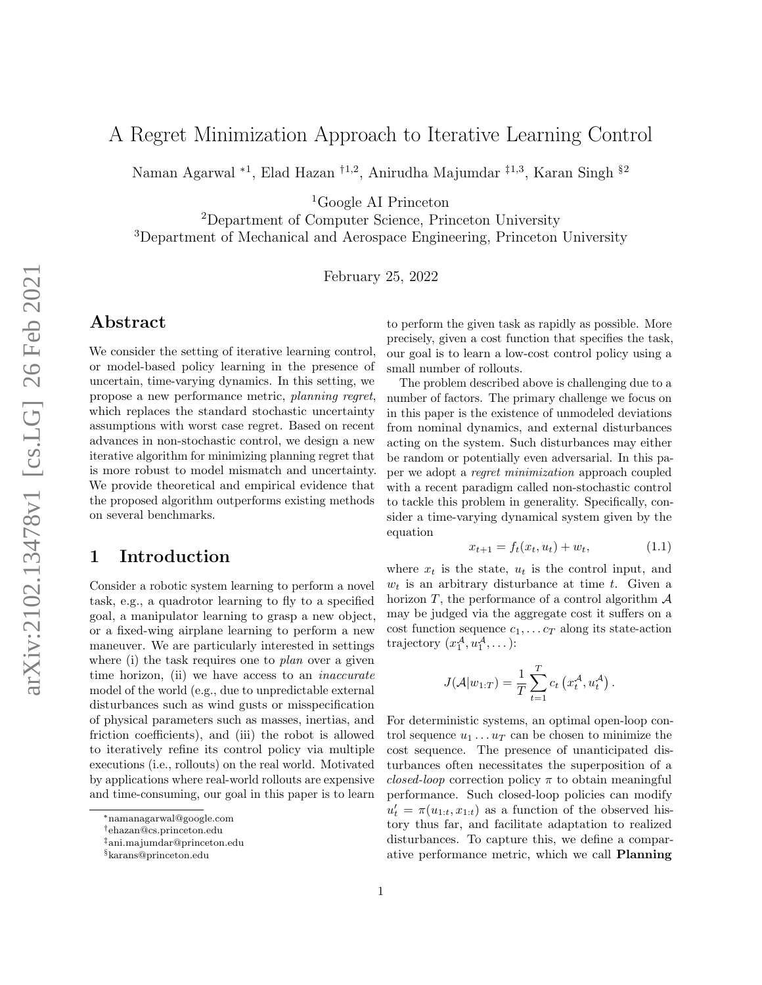# A Regret Minimization Approach to Iterative Learning Control

Naman Agarwal <sup>∗</sup><sup>1</sup> , Elad Hazan †1,2, Anirudha Majumdar ‡1,3, Karan Singh §<sup>2</sup>

<sup>1</sup>Google AI Princeton

<sup>2</sup>Department of Computer Science, Princeton University <sup>3</sup>Department of Mechanical and Aerospace Engineering, Princeton University

February 25, 2022

# Abstract

We consider the setting of iterative learning control, or model-based policy learning in the presence of uncertain, time-varying dynamics. In this setting, we propose a new performance metric, planning regret, which replaces the standard stochastic uncertainty assumptions with worst case regret. Based on recent advances in non-stochastic control, we design a new iterative algorithm for minimizing planning regret that is more robust to model mismatch and uncertainty. We provide theoretical and empirical evidence that the proposed algorithm outperforms existing methods on several benchmarks.

# 1 Introduction

Consider a robotic system learning to perform a novel task, e.g., a quadrotor learning to fly to a specified goal, a manipulator learning to grasp a new object, or a fixed-wing airplane learning to perform a new maneuver. We are particularly interested in settings where (i) the task requires one to *plan* over a given time horizon, (ii) we have access to an *inaccurate* model of the world (e.g., due to unpredictable external disturbances such as wind gusts or misspecification of physical parameters such as masses, inertias, and friction coefficients), and (iii) the robot is allowed to iteratively refine its control policy via multiple executions (i.e., rollouts) on the real world. Motivated by applications where real-world rollouts are expensive and time-consuming, our goal in this paper is to learn

to perform the given task as rapidly as possible. More precisely, given a cost function that specifies the task, our goal is to learn a low-cost control policy using a small number of rollouts.

The problem described above is challenging due to a number of factors. The primary challenge we focus on in this paper is the existence of unmodeled deviations from nominal dynamics, and external disturbances acting on the system. Such disturbances may either be random or potentially even adversarial. In this paper we adopt a regret minimization approach coupled with a recent paradigm called non-stochastic control to tackle this problem in generality. Specifically, consider a time-varying dynamical system given by the equation

<span id="page-0-0"></span>
$$
x_{t+1} = f_t(x_t, u_t) + w_t, \tag{1.1}
$$

where  $x_t$  is the state,  $u_t$  is the control input, and  $w_t$  is an arbitrary disturbance at time t. Given a horizon  $T$ , the performance of a control algorithm  $A$ may be judged via the aggregate cost it suffers on a cost function sequence  $c_1, \ldots c_T$  along its state-action trajectory  $(x_1^{\mathcal{A}}, u_1^{\mathcal{A}}, \dots)$ :

$$
J(\mathcal{A}|w_{1:T}) = \frac{1}{T} \sum_{t=1}^T c_t \left(x_t^{\mathcal{A}}, u_t^{\mathcal{A}}\right).
$$

For deterministic systems, an optimal open-loop control sequence  $u_1 \ldots u_T$  can be chosen to minimize the cost sequence. The presence of unanticipated disturbances often necessitates the superposition of a closed-loop correction policy  $\pi$  to obtain meaningful performance. Such closed-loop policies can modify  $u'_t = \pi(u_{1:t}, x_{1:t})$  as a function of the observed history thus far, and facilitate adaptation to realized disturbances. To capture this, we define a comparative performance metric, which we call Planning

<sup>∗</sup>namanagarwal@google.com

<sup>†</sup>ehazan@cs.princeton.edu

<sup>‡</sup>ani.majumdar@princeton.edu

<sup>§</sup>karans@princeton.edu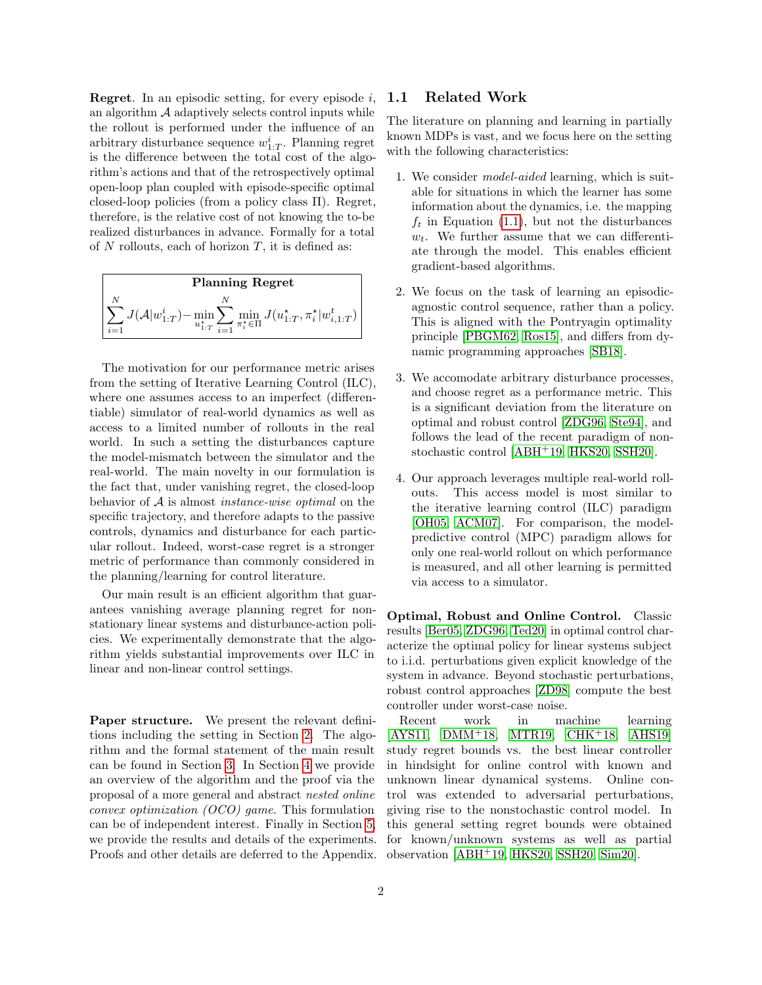**Regret.** In an episodic setting, for every episode i. an algorithm  $A$  adaptively selects control inputs while the rollout is performed under the influence of an arbitrary disturbance sequence  $w_{1:T}^i$ . Planning regret is the difference between the total cost of the algorithm's actions and that of the retrospectively optimal open-loop plan coupled with episode-specific optimal closed-loop policies (from a policy class Π). Regret, therefore, is the relative cost of not knowing the to-be realized disturbances in advance. Formally for a total of  $N$  rollouts, each of horizon  $T$ , it is defined as:



The motivation for our performance metric arises from the setting of Iterative Learning Control (ILC), where one assumes access to an imperfect (differentiable) simulator of real-world dynamics as well as access to a limited number of rollouts in the real world. In such a setting the disturbances capture the model-mismatch between the simulator and the real-world. The main novelty in our formulation is the fact that, under vanishing regret, the closed-loop behavior of A is almost instance-wise optimal on the specific trajectory, and therefore adapts to the passive controls, dynamics and disturbance for each particular rollout. Indeed, worst-case regret is a stronger metric of performance than commonly considered in the planning/learning for control literature.

Our main result is an efficient algorithm that guarantees vanishing average planning regret for nonstationary linear systems and disturbance-action policies. We experimentally demonstrate that the algorithm yields substantial improvements over ILC in linear and non-linear control settings.

Paper structure. We present the relevant definitions including the setting in Section [2.](#page-2-0) The algorithm and the formal statement of the main result can be found in Section [3.](#page-4-0) In Section [4](#page-4-1) we provide an overview of the algorithm and the proof via the proposal of a more general and abstract nested online convex optimization (OCO) game. This formulation can be of independent interest. Finally in Section [5,](#page-6-0) we provide the results and details of the experiments. Proofs and other details are deferred to the Appendix.

### 1.1 Related Work

The literature on planning and learning in partially known MDPs is vast, and we focus here on the setting with the following characteristics:

- 1. We consider model-aided learning, which is suitable for situations in which the learner has some information about the dynamics, i.e. the mapping  $f_t$  in Equation [\(1.1\)](#page-0-0), but not the disturbances  $w_t$ . We further assume that we can differentiate through the model. This enables efficient gradient-based algorithms.
- 2. We focus on the task of learning an episodicagnostic control sequence, rather than a policy. This is aligned with the Pontryagin optimality principle [\[PBGM62,](#page-10-0) [Ros15\]](#page-10-1), and differs from dynamic programming approaches [\[SB18\]](#page-10-2).
- 3. We accomodate arbitrary disturbance processes, and choose regret as a performance metric. This is a significant deviation from the literature on optimal and robust control [\[ZDG96,](#page-11-0) [Ste94\]](#page-10-3), and follows the lead of the recent paradigm of nonstochastic control [\[ABH](#page-9-0)+19, [HKS20,](#page-10-4) [SSH20\]](#page-10-5).
- 4. Our approach leverages multiple real-world rollouts. This access model is most similar to the iterative learning control (ILC) paradigm [\[OH05,](#page-10-6) [ACM07\]](#page-9-1). For comparison, the modelpredictive control (MPC) paradigm allows for only one real-world rollout on which performance is measured, and all other learning is permitted via access to a simulator.

Optimal, Robust and Online Control. Classic results [\[Ber05,](#page-9-2) [ZDG96,](#page-11-0) [Ted20\]](#page-10-7) in optimal control characterize the optimal policy for linear systems subject to i.i.d. perturbations given explicit knowledge of the system in advance. Beyond stochastic perturbations, robust control approaches [\[ZD98\]](#page-11-1) compute the best controller under worst-case noise.

Recent work in machine learning [\[AYS11,](#page-9-3) [DMM](#page-9-4)<sup>+</sup>18, [MTR19,](#page-10-8) [CHK](#page-9-5)<sup>+</sup>18, [AHS19\]](#page-9-6) study regret bounds vs. the best linear controller in hindsight for online control with known and unknown linear dynamical systems. Online control was extended to adversarial perturbations, giving rise to the nonstochastic control model. In this general setting regret bounds were obtained for known/unknown systems as well as partial observation [\[ABH](#page-9-0)<sup>+</sup>19, [HKS20,](#page-10-4) [SSH20,](#page-10-5) [Sim20\]](#page-10-9).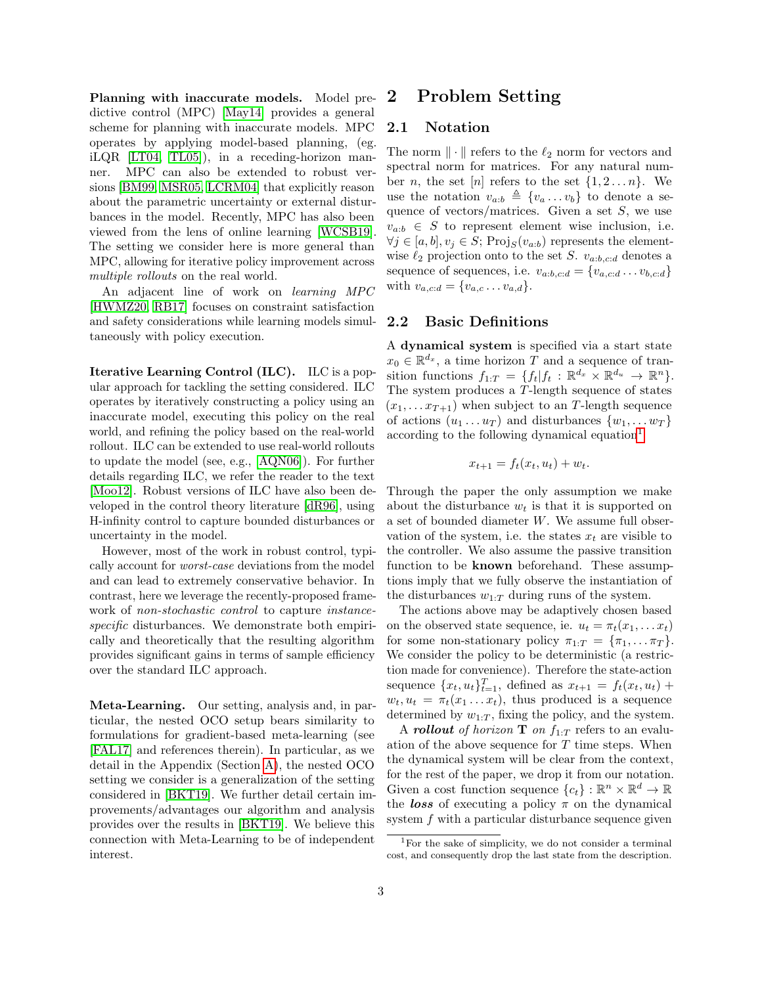Planning with inaccurate models. Model predictive control (MPC) [\[May14\]](#page-10-10) provides a general scheme for planning with inaccurate models. MPC operates by applying model-based planning, (eg. iLQR [\[LT04,](#page-10-11) [TL05\]](#page-10-12)), in a receding-horizon manner. MPC can also be extended to robust versions [\[BM99,](#page-9-7) [MSR05,](#page-10-13) [LCRM04\]](#page-10-14) that explicitly reason about the parametric uncertainty or external disturbances in the model. Recently, MPC has also been viewed from the lens of online learning [\[WCSB19\]](#page-11-2). The setting we consider here is more general than MPC, allowing for iterative policy improvement across multiple rollouts on the real world.

An adjacent line of work on learning MPC [\[HWMZ20,](#page-10-15) [RB17\]](#page-10-16) focuses on constraint satisfaction and safety considerations while learning models simultaneously with policy execution.

Iterative Learning Control (ILC). ILC is a popular approach for tackling the setting considered. ILC operates by iteratively constructing a policy using an inaccurate model, executing this policy on the real world, and refining the policy based on the real-world rollout. ILC can be extended to use real-world rollouts to update the model (see, e.g., [\[AQN06\]](#page-9-8)). For further details regarding ILC, we refer the reader to the text [\[Moo12\]](#page-10-17). Robust versions of ILC have also been developed in the control theory literature [\[dR96\]](#page-9-9), using H-infinity control to capture bounded disturbances or uncertainty in the model.

However, most of the work in robust control, typically account for worst-case deviations from the model and can lead to extremely conservative behavior. In contrast, here we leverage the recently-proposed framework of *non-stochastic control* to capture *instance*specific disturbances. We demonstrate both empirically and theoretically that the resulting algorithm provides significant gains in terms of sample efficiency over the standard ILC approach.

Meta-Learning. Our setting, analysis and, in particular, the nested OCO setup bears similarity to formulations for gradient-based meta-learning (see [\[FAL17\]](#page-9-10) and references therein). In particular, as we detail in the Appendix (Section [A\)](#page-12-0), the nested OCO setting we consider is a generalization of the setting considered in [\[BKT19\]](#page-9-11). We further detail certain improvements/advantages our algorithm and analysis provides over the results in [\[BKT19\]](#page-9-11). We believe this connection with Meta-Learning to be of independent interest.

## <span id="page-2-0"></span>2 Problem Setting

#### 2.1 Notation

The norm  $\|\cdot\|$  refers to the  $\ell_2$  norm for vectors and spectral norm for matrices. For any natural number *n*, the set [*n*] refers to the set  $\{1, 2 \ldots n\}$ . We use the notation  $v_{a:b} \triangleq \{v_a \dots v_b\}$  to denote a sequence of vectors/matrices. Given a set  $S$ , we use  $v_{a:b} \in S$  to represent element wise inclusion, i.e.  $\forall j \in [a, b], v_j \in S; Proj_S(v_{a:b})$  represents the elementwise  $\ell_2$  projection onto to the set S.  $v_{a:b,c:d}$  denotes a sequence of sequences, i.e.  $v_{a:b,c:d} = \{v_{a,c:d} \dots v_{b,c:d}\}\$ with  $v_{a,c:d} = \{v_{a,c} \dots v_{a,d}\}.$ 

### 2.2 Basic Definitions

A dynamical system is specified via a start state  $x_0 \in \mathbb{R}^{d_x}$ , a time horizon T and a sequence of transition functions  $f_{1:T} = \{f_t | f_t : \mathbb{R}^{d_x} \times \mathbb{R}^{d_u} \to \mathbb{R}^n\}.$ The system produces a T-length sequence of states  $(x_1, \ldots, x_{T+1})$  when subject to an T-length sequence of actions  $(u_1 \ldots u_T)$  and disturbances  $\{w_1, \ldots w_T\}$ according to the following dynamical equation<sup>[1](#page-2-1)</sup>

$$
x_{t+1} = f_t(x_t, u_t) + w_t.
$$

Through the paper the only assumption we make about the disturbance  $w_t$  is that it is supported on a set of bounded diameter W. We assume full observation of the system, i.e. the states  $x_t$  are visible to the controller. We also assume the passive transition function to be known beforehand. These assumptions imply that we fully observe the instantiation of the disturbances  $w_{1:T}$  during runs of the system.

The actions above may be adaptively chosen based on the observed state sequence, ie.  $u_t = \pi_t(x_1, \dots, x_t)$ for some non-stationary policy  $\pi_{1:T} = {\pi_1, \ldots \pi_T}.$ We consider the policy to be deterministic (a restriction made for convenience). Therefore the state-action sequence  ${x_t, u_t}_{t=1}^T$ , defined as  $x_{t+1} = f_t(x_t, u_t) +$  $w_t, u_t = \pi_t(x_1 \dots x_t)$ , thus produced is a sequence determined by  $w_{1:T}$ , fixing the policy, and the system.

A **rollout** of horizon **T** on  $f_{1:T}$  refers to an evaluation of the above sequence for  $T$  time steps. When the dynamical system will be clear from the context, for the rest of the paper, we drop it from our notation. Given a cost function sequence  ${c_t}$ :  $\mathbb{R}^n \times \mathbb{R}^d \to \mathbb{R}$ the **loss** of executing a policy  $\pi$  on the dynamical system  $f$  with a particular disturbance sequence given

<span id="page-2-1"></span><sup>1</sup>For the sake of simplicity, we do not consider a terminal cost, and consequently drop the last state from the description.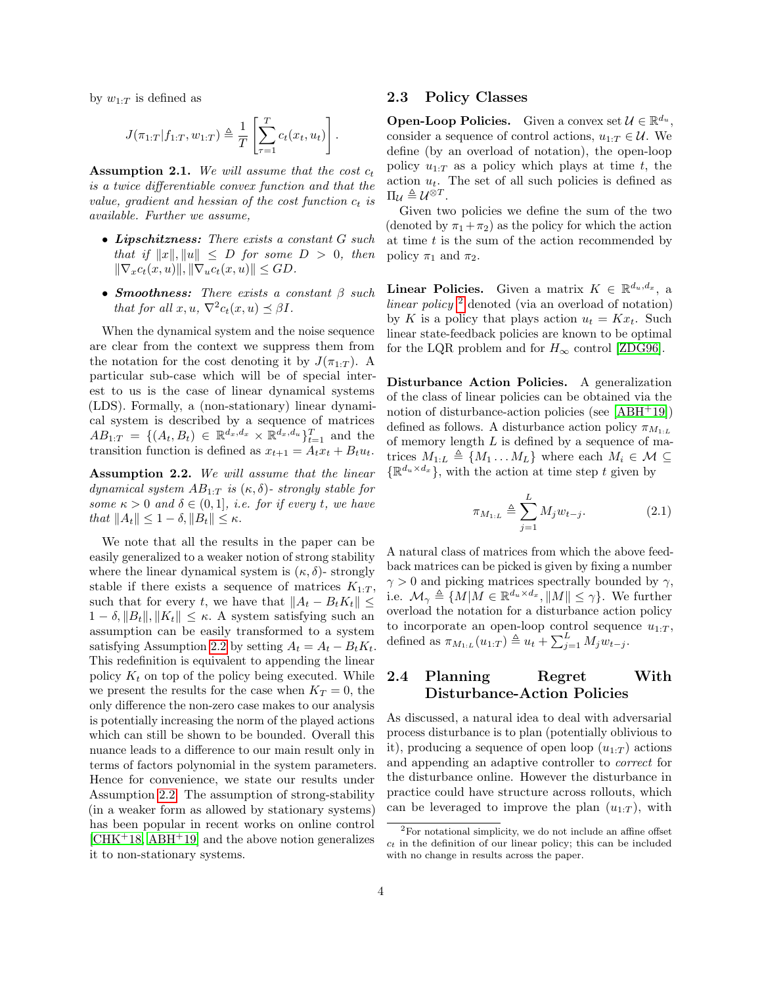by  $w_{1:T}$  is defined as

$$
J(\pi_{1:T}|f_{1:T}, w_{1:T}) \triangleq \frac{1}{T} \left[ \sum_{\tau=1}^T c_t(x_t, u_t) \right].
$$

<span id="page-3-3"></span>Assumption 2.1. We will assume that the cost  $c_t$ is a twice differentiable convex function and that the value, gradient and hessian of the cost function  $c_t$  is available. Further we assume,

- Lipschitzness: There exists a constant G such that if  $||x||, ||u|| \leq D$  for some  $D > 0$ , then  $\|\nabla_x c_t(x, u)\|, \|\nabla_u c_t(x, u)\| \leq GD.$
- Smoothness: There exists a constant  $\beta$  such that for all  $x, u, \nabla^2 c_t(x, u) \preceq \beta I$ .

When the dynamical system and the noise sequence are clear from the context we suppress them from the notation for the cost denoting it by  $J(\pi_{1:T})$ . A particular sub-case which will be of special interest to us is the case of linear dynamical systems (LDS). Formally, a (non-stationary) linear dynamical system is described by a sequence of matrices  $AB_{1:T} = \{(A_t, B_t) \in \mathbb{R}^{d_x, d_x} \times \mathbb{R}^{d_x, d_u}\}_{t=1}^T$  and the transition function is defined as  $x_{t+1} = A_t x_t + B_t u_t$ .

<span id="page-3-0"></span>Assumption 2.2. We will assume that the linear dynamical system  $AB_{1:T}$  is  $(\kappa, \delta)$ -strongly stable for some  $\kappa > 0$  and  $\delta \in (0, 1]$ , i.e. for if every t, we have that  $||A_t|| \leq 1 - \delta$ ,  $||B_t|| \leq \kappa$ .

We note that all the results in the paper can be easily generalized to a weaker notion of strong stability where the linear dynamical system is  $(\kappa, \delta)$ - strongly stable if there exists a sequence of matrices  $K_{1:T}$ , such that for every t, we have that  $||A_t - B_t K_t|| \leq$  $1 - \delta, \|B_t\|, \|K_t\| \leq \kappa$ . A system satisfying such an assumption can be easily transformed to a system satisfying Assumption [2.2](#page-3-0) by setting  $A_t = A_t - B_t K_t$ . This redefinition is equivalent to appending the linear policy  $K_t$  on top of the policy being executed. While we present the results for the case when  $K_T = 0$ , the only difference the non-zero case makes to our analysis is potentially increasing the norm of the played actions which can still be shown to be bounded. Overall this nuance leads to a difference to our main result only in terms of factors polynomial in the system parameters. Hence for convenience, we state our results under Assumption [2.2.](#page-3-0) The assumption of strong-stability (in a weaker form as allowed by stationary systems) has been popular in recent works on online control  $[CHK+18, ABH+19]$  $[CHK+18, ABH+19]$  $[CHK+18, ABH+19]$  $[CHK+18, ABH+19]$  and the above notion generalizes it to non-stationary systems.

### 2.3 Policy Classes

**Open-Loop Policies.** Given a convex set  $\mathcal{U} \in \mathbb{R}^{d_u}$ , consider a sequence of control actions,  $u_{1:T} \in \mathcal{U}$ . We define (by an overload of notation), the open-loop policy  $u_{1:T}$  as a policy which plays at time t, the action  $u_t$ . The set of all such policies is defined as  $\Pi_{\mathcal{U}} \triangleq \mathcal{U}^{\otimes T}.$ 

Given two policies we define the sum of the two (denoted by  $\pi_1 + \pi_2$ ) as the policy for which the action at time  $t$  is the sum of the action recommended by policy  $\pi_1$  and  $\pi_2$ .

**Linear Policies.** Given a matrix  $K \in \mathbb{R}^{d_u, d_x}$ , a linear policy  $^2$  $^2$  denoted (via an overload of notation) by K is a policy that plays action  $u_t = Kx_t$ . Such linear state-feedback policies are known to be optimal for the LQR problem and for  $H_{\infty}$  control [\[ZDG96\]](#page-11-0).

Disturbance Action Policies. A generalization of the class of linear policies can be obtained via the notion of disturbance-action policies (see [\[ABH](#page-9-0)<sup>+</sup>19]) defined as follows. A disturbance action policy  $\pi_{M_{1:L}}$ of memory length  $L$  is defined by a sequence of matrices  $M_{1:L} \triangleq \{M_1 \dots M_L\}$  where each  $M_i \in \mathcal{M} \subseteq$  $\{\mathbb{R}^{d_u \times d_x}\}\$ , with the action at time step t given by

<span id="page-3-2"></span>
$$
\pi_{M_{1:L}} \triangleq \sum_{j=1}^{L} M_j w_{t-j}.
$$
\n(2.1)

A natural class of matrices from which the above feedback matrices can be picked is given by fixing a number  $\gamma > 0$  and picking matrices spectrally bounded by  $\gamma$ , i.e.  $\mathcal{M}_{\gamma} \triangleq \{ M | M \in \mathbb{R}^{d_u \times d_x}, ||M|| \leq \gamma \}.$  We further overload the notation for a disturbance action policy to incorporate an open-loop control sequence  $u_{1:T}$ , defined as  $\pi_{M_{1:L}}(u_{1:T}) \triangleq u_t + \sum_{j=1}^{L} M_j w_{t-j}$ .

### 2.4 Planning Regret With Disturbance-Action Policies

As discussed, a natural idea to deal with adversarial process disturbance is to plan (potentially oblivious to it), producing a sequence of open loop  $(u_1, \tau)$  actions and appending an adaptive controller to correct for the disturbance online. However the disturbance in practice could have structure across rollouts, which can be leveraged to improve the plan  $(u_{1:T})$ , with

<span id="page-3-1"></span><sup>2</sup>For notational simplicity, we do not include an affine offset  $c<sub>t</sub>$  in the definition of our linear policy; this can be included with no change in results across the paper.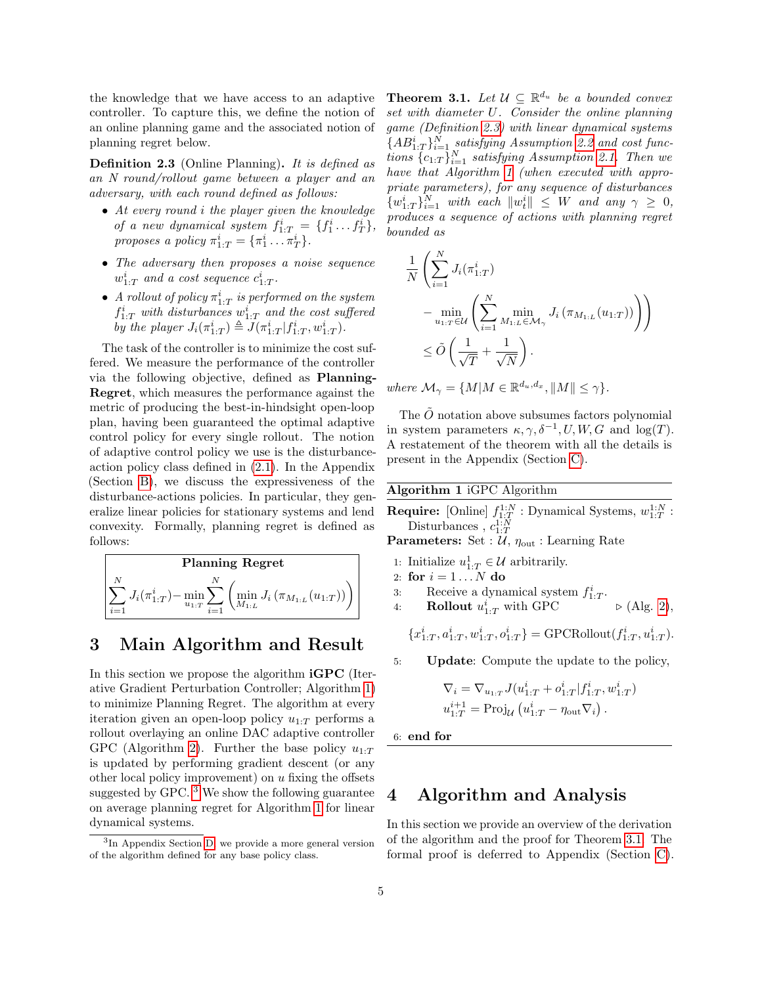the knowledge that we have access to an adaptive controller. To capture this, we define the notion of an online planning game and the associated notion of planning regret below.

<span id="page-4-4"></span>Definition 2.3 (Online Planning). It is defined as an N round/rollout game between a player and an adversary, with each round defined as follows:

- At every round i the player given the knowledge of a new dynamical system  $f_{1:T}^i = \{f_1^i \dots f_T^i\},\$ proposes a policy  $\pi_{1:T}^i = {\pi_1^i \dots \pi_T^i}.$
- The adversary then proposes a noise sequence  $w_{1:T}^i$  and a cost sequence  $c_{1:T}^i$ .
- A rollout of policy  $\pi^i_{1:T}$  is performed on the system  $f_{1:T}^i$  with disturbances  $w_{1:T}^i$  and the cost suffered by the player  $J_i(\pi_{1:T}^i) \triangleq J(\pi_{1:T}^i|f_{1:T}^i,w_{1:T}^i)$ .

The task of the controller is to minimize the cost suffered. We measure the performance of the controller via the following objective, defined as Planning-Regret, which measures the performance against the metric of producing the best-in-hindsight open-loop plan, having been guaranteed the optimal adaptive control policy for every single rollout. The notion of adaptive control policy we use is the disturbanceaction policy class defined in [\(2.1\)](#page-3-2). In the Appendix (Section [B\)](#page-12-1), we discuss the expressiveness of the disturbance-actions policies. In particular, they generalize linear policies for stationary systems and lend convexity. Formally, planning regret is defined as follows:



# <span id="page-4-0"></span>3 Main Algorithm and Result

In this section we propose the algorithm **iGPC** (Iterative Gradient Perturbation Controller; Algorithm [1\)](#page-4-2) to minimize Planning Regret. The algorithm at every iteration given an open-loop policy  $u_{1:T}$  performs a rollout overlaying an online DAC adaptive controller GPC (Algorithm [2\)](#page-5-0). Further the base policy  $u_1 \tau$ is updated by performing gradient descent (or any other local policy improvement) on  $u$  fixing the offsets suggested by GPC. [3](#page-4-3) We show the following guarantee on average planning regret for Algorithm [1](#page-4-2) for linear dynamical systems.

<span id="page-4-5"></span>**Theorem 3.1.** Let  $\mathcal{U} \subseteq \mathbb{R}^{d_u}$  be a bounded convex set with diameter U. Consider the online planning game (Definition [2.3\)](#page-4-4) with linear dynamical systems  ${AB_{1:T}^i}_{i=1}$  satisfying Assumption [2.2](#page-3-0) and cost functions  ${c_{1:T}}_{i=1}^N$  satisfying Assumption [2.1.](#page-3-3) Then we have that Algorithm [1](#page-4-2) (when executed with appropriate parameters), for any sequence of disturbances  ${w_{1:T}^i}_{i=1}^N$  with each  $||w_t^i|| \leq W$  and any  $\gamma \geq 0$ , produces a sequence of actions with planning regret bounded as

$$
\frac{1}{N} \left( \sum_{i=1}^{N} J_i(\pi_{1:T}^i) - \min_{u_{1:T} \in \mathcal{U}} \left( \sum_{i=1}^{N} \min_{M_{1:L} \in \mathcal{M}_{\gamma}} J_i(\pi_{M_{1:L}}(u_{1:T})) \right) \right) \n\leq \tilde{O} \left( \frac{1}{\sqrt{T}} + \frac{1}{\sqrt{N}} \right).
$$

where  $\mathcal{M}_{\gamma} = \{M | M \in \mathbb{R}^{d_u, d_x}, ||M|| \leq \gamma\}.$ 

The  $\tilde{O}$  notation above subsumes factors polynomial in system parameters  $\kappa$ ,  $\gamma$ ,  $\delta^{-1}$ , U, W, G and log(T). A restatement of the theorem with all the details is present in the Appendix (Section [C\)](#page-13-0).

<span id="page-4-2"></span>Algorithm 1 iGPC Algorithm

- **Require:** [Online]  $f_{1:T}^{1:N}$  : Dynamical Systems,  $w_{1:T}^{1:N}$  : Disturbances,  $c_{1:T}^{1:N}$
- **Parameters:** Set :  $\mathcal{U}, \eta_{\text{out}}$  : Learning Rate
- 1: Initialize  $u_{1:T}^1 \in \mathcal{U}$  arbitrarily.
- 2: for  $i = 1...N$  do
- 3: Receive a dynamical system  $f_{1:T}^i$ .
- 4: **Rollout**  $u_{1:T}^i$  with GPC  $\triangleright$  (Alg. [2\)](#page-5-0),

$$
\{x_{1:T}^i, a_{1:T}^i, w_{1:T}^i, o_{1:T}^i\} = \text{GPCRollout}(f_{1:T}^i, u_{1:T}^i).
$$

5: Update: Compute the update to the policy,

$$
\nabla_i = \nabla_{u_{1:T}} J(u_{1:T}^i + o_{1:T}^i | f_{1:T}^i, w_{1:T}^i)
$$
  

$$
u_{1:T}^{i+1} = \text{Proj}_{\mathcal{U}} (u_{1:T}^i - \eta_{\text{out}} \nabla_i).
$$

6: end for

# <span id="page-4-1"></span>4 Algorithm and Analysis

In this section we provide an overview of the derivation of the algorithm and the proof for Theorem [3.1.](#page-4-5) The formal proof is deferred to Appendix (Section [C\)](#page-13-0).

<span id="page-4-3"></span><sup>3</sup> In Appendix Section [D,](#page-22-0) we provide a more general version of the algorithm defined for any base policy class.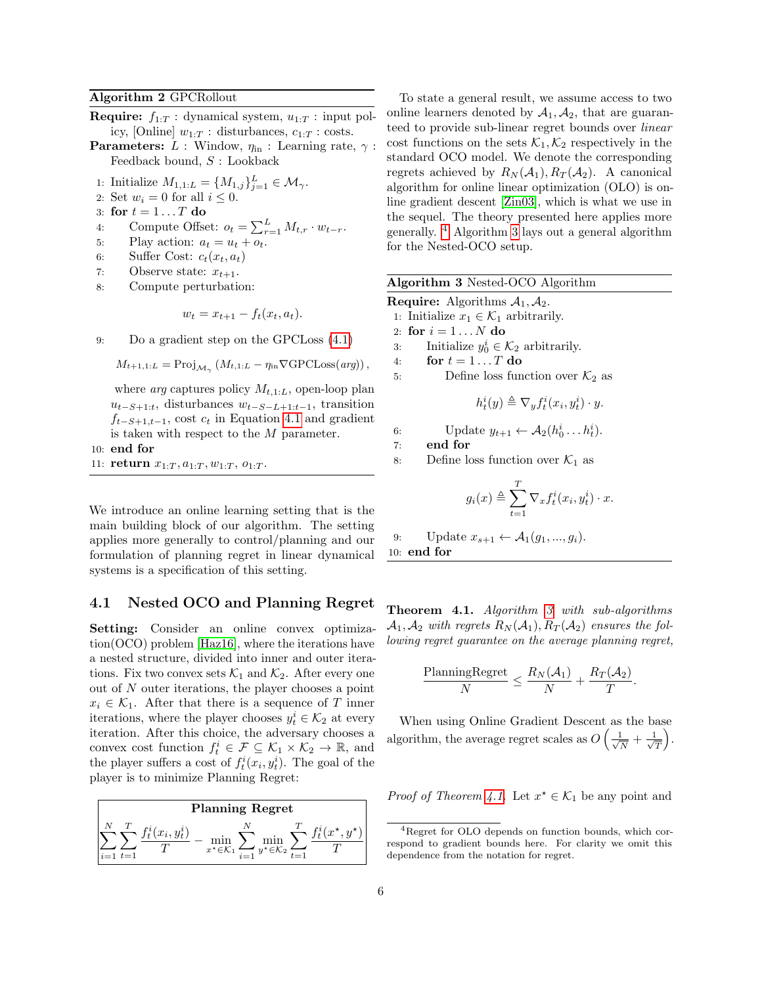#### <span id="page-5-0"></span>Algorithm 2 GPCRollout

- **Require:**  $f_{1:T}$  : dynamical system,  $u_{1:T}$  : input policy, [Online]  $w_{1:T}$ : disturbances,  $c_{1:T}$ : costs.
- **Parameters:** L : Window,  $\eta_{\text{in}}$  : Learning rate,  $\gamma$  : Feedback bound, S : Lookback
- 1: Initialize  $M_{1,1:L} = \{M_{1,j}\}_{j=1}^{L} \in \mathcal{M}_{\gamma}$ .
- 2: Set  $w_i = 0$  for all  $i \leq 0$ .
- 3: for  $t = 1 \dots T$  do
- 4: Compute Offset:  $o_t = \sum_{r=1}^{L} M_{t,r} \cdot w_{t-r}$ .
- 5: Play action:  $a_t = u_t + o_t$ .
- 6: Suffer Cost:  $c_t(x_t, a_t)$
- 7: Observe state:  $x_{t+1}$ .
- 8: Compute perturbation:

$$
w_t = x_{t+1} - f_t(x_t, a_t).
$$

9: Do a gradient step on the GPCLoss [\(4.1\)](#page-6-1)

 $M_{t+1,1:L} = \text{Proj}_{\mathcal{M}_{\gamma}} (M_{t,1:L} - \eta_{\text{in}} \nabla \text{GPCLoss}(arg)),$ 

where *arg* captures policy  $M_{t,1:L}$ , open-loop plan  $u_{t-S+1:t}$ , disturbances  $w_{t-S-L+1:t-1}$ , transition  $f_{t-S+1,t-1}$ , cost  $c_t$  in Equation [4.1](#page-6-1) and gradient is taken with respect to the M parameter.

10: end for

11: return  $x_{1:T}, a_{1:T}, w_{1:T}, o_{1:T}$ .

We introduce an online learning setting that is the main building block of our algorithm. The setting applies more generally to control/planning and our formulation of planning regret in linear dynamical systems is a specification of this setting.

#### 4.1 Nested OCO and Planning Regret

Setting: Consider an online convex optimization(OCO) problem [\[Haz16\]](#page-10-18), where the iterations have a nested structure, divided into inner and outer iterations. Fix two convex sets  $\mathcal{K}_1$  and  $\mathcal{K}_2$ . After every one out of N outer iterations, the player chooses a point  $x_i \in \mathcal{K}_1$ . After that there is a sequence of T inner iterations, where the player chooses  $y_t^i \in \mathcal{K}_2$  at every iteration. After this choice, the adversary chooses a convex cost function  $f_t^i \in \mathcal{F} \subseteq \mathcal{K}_1 \times \mathcal{K}_2 \to \mathbb{R}$ , and the player suffers a cost of  $f_t^i(x_i, y_t^i)$ . The goal of the player is to minimize Planning Regret:

| <b>Planning Regret</b>                                                             |             |  |  |  |  |
|------------------------------------------------------------------------------------|-------------|--|--|--|--|
| $x_i$ $u^i$ .<br>$*_{\in \mathcal{K}_2}$<br>$x^* \in \mathcal{K}_1$<br>$i=1$ $t=1$ | $r^{\star}$ |  |  |  |  |

To state a general result, we assume access to two online learners denoted by  $A_1, A_2$ , that are guaranteed to provide sub-linear regret bounds over linear cost functions on the sets  $\mathcal{K}_1, \mathcal{K}_2$  respectively in the standard OCO model. We denote the corresponding regrets achieved by  $R_N(\mathcal{A}_1), R_T(\mathcal{A}_2)$ . A canonical algorithm for online linear optimization (OLO) is online gradient descent [\[Zin03\]](#page-11-3), which is what we use in the sequel. The theory presented here applies more generally. [4](#page-5-1) Algorithm [3](#page-5-2) lays out a general algorithm for the Nested-OCO setup.

<span id="page-5-2"></span>

|  |  | Algorithm 3 Nested-OCO Algorithm |  |  |
|--|--|----------------------------------|--|--|
|--|--|----------------------------------|--|--|

**Require:** Algorithms  $A_1, A_2$ . 1: Initialize  $x_1 \in \mathcal{K}_1$  arbitrarily.

- 2: for  $i = 1...N$  do
- 3: Initialize  $y_0^i \in \mathcal{K}_2$  arbitrarily.
- 4: for  $t = 1 \dots T$  do

5: Define loss function over  $\mathcal{K}_2$  as

$$
h_t^i(y) \triangleq \nabla_y f_t^i(x_i, y_t^i) \cdot y.
$$

6: Update  $y_{t+1} \leftarrow \mathcal{A}_2(h_0^i \dots h_t^i)$ .

- 7: end for
- 8: Define loss function over  $\mathcal{K}_1$  as

$$
g_i(x) \triangleq \sum_{t=1}^T \nabla_x f_t^i(x_i, y_t^i) \cdot x.
$$

9: Update  $x_{s+1} \leftarrow A_1(g_1, ..., g_i)$ . 10: end for

<span id="page-5-3"></span>Theorem 4.1. Algorithm [3](#page-5-2) with sub-algorithms  $\mathcal{A}_1, \mathcal{A}_2$  with regrets  $R_N(\mathcal{A}_1), R_T(\mathcal{A}_2)$  ensures the following regret guarantee on the average planning regret,

$$
\frac{\text{PlanningRegret}}{N} \leq \frac{R_N(\mathcal{A}_1)}{N} + \frac{R_T(\mathcal{A}_2)}{T}.
$$

When using Online Gradient Descent as the base algorithm, the average regret scales as  $O\left(\frac{1}{\sqrt{2}}\right)$  $\frac{1}{\overline{N}}+\frac{1}{\sqrt{2}}$  $\frac{1}{\overline{T}}\bigg).$ 

*Proof of Theorem [4.1.](#page-5-3)* Let  $x^* \in \mathcal{K}_1$  be any point and

<span id="page-5-1"></span><sup>4</sup>Regret for OLO depends on function bounds, which correspond to gradient bounds here. For clarity we omit this dependence from the notation for regret.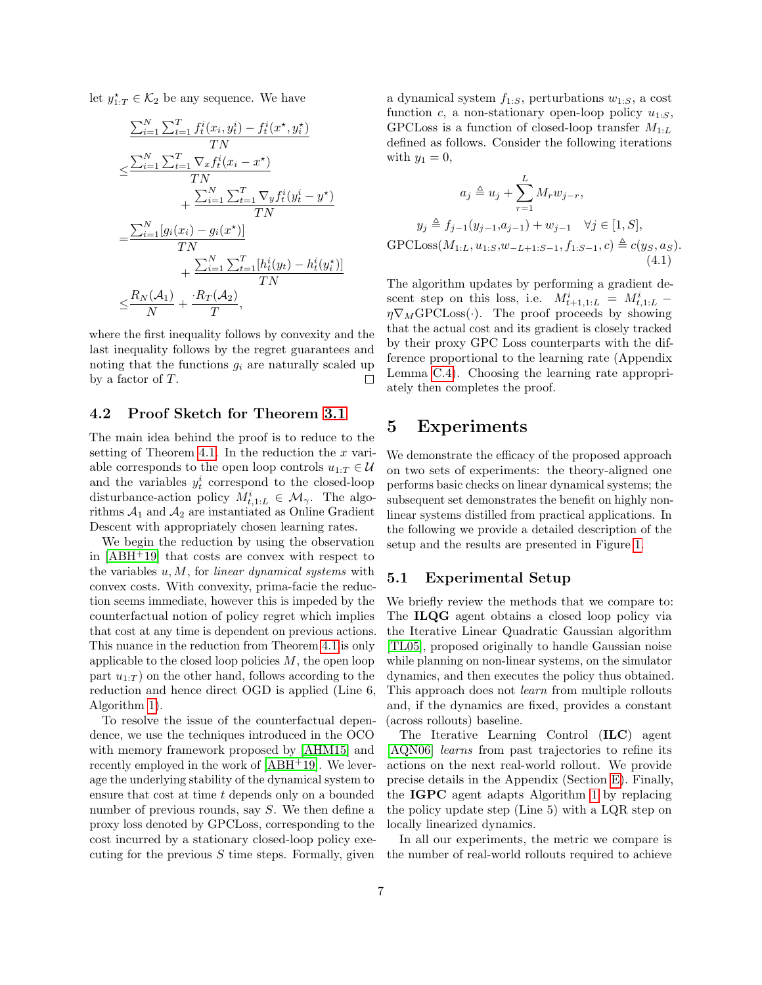let  $y_{1:T}^{\star} \in \mathcal{K}_2$  be any sequence. We have

$$
\frac{\sum_{i=1}^{N} \sum_{t=1}^{T} f_t^i(x_i, y_t^i) - f_t^i(x^*, y_i^*)}{TN}
$$
\n
$$
\leq \frac{\sum_{i=1}^{N} \sum_{t=1}^{T} \nabla_x f_t^i(x_i - x^*)}{TN}
$$
\n
$$
+ \frac{\sum_{i=1}^{N} \sum_{t=1}^{T} \nabla_y f_t^i(y_t^i - y^*)}{TN}
$$
\n
$$
= \frac{\sum_{i=1}^{N} [g_i(x_i) - g_i(x^*)]}{TN}
$$
\n
$$
+ \frac{\sum_{i=1}^{N} \sum_{t=1}^{T} [h_t^i(y_t) - h_t^i(y_t^*)]}{TN}
$$
\n
$$
\leq \frac{R_N(\mathcal{A}_1)}{N} + \frac{R_T(\mathcal{A}_2)}{T},
$$

where the first inequality follows by convexity and the last inequality follows by the regret guarantees and noting that the functions  $g_i$  are naturally scaled up by a factor of T.  $\Box$ 

### 4.2 Proof Sketch for Theorem [3.1](#page-4-5)

The main idea behind the proof is to reduce to the setting of Theorem [4.1.](#page-5-3) In the reduction the  $x$  variable corresponds to the open loop controls  $u_{1:T} \in \mathcal{U}$ and the variables  $y_t^i$  correspond to the closed-loop disturbance-action policy  $M_{t,1:L}^i \in \mathcal{M}_{\gamma}$ . The algorithms  $A_1$  and  $A_2$  are instantiated as Online Gradient Descent with appropriately chosen learning rates.

We begin the reduction by using the observation in [\[ABH](#page-9-0)<sup>+</sup>19] that costs are convex with respect to the variables  $u, M$ , for *linear dynamical systems* with convex costs. With convexity, prima-facie the reduction seems immediate, however this is impeded by the counterfactual notion of policy regret which implies that cost at any time is dependent on previous actions. This nuance in the reduction from Theorem [4.1](#page-5-3) is only applicable to the closed loop policies  $M$ , the open loop part  $u_{1:T}$ ) on the other hand, follows according to the reduction and hence direct OGD is applied (Line 6, Algorithm [1\)](#page-4-2).

To resolve the issue of the counterfactual dependence, we use the techniques introduced in the OCO with memory framework proposed by [\[AHM15\]](#page-9-12) and recently employed in the work of  $[ABH^+19]$  $[ABH^+19]$ . We leverage the underlying stability of the dynamical system to ensure that cost at time  $t$  depends only on a bounded number of previous rounds, say S. We then define a proxy loss denoted by GPCLoss, corresponding to the cost incurred by a stationary closed-loop policy executing for the previous  $S$  time steps. Formally, given a dynamical system  $f_{1:S}$ , perturbations  $w_{1:S}$ , a cost function c, a non-stationary open-loop policy  $u_{1:S}$ , GPCLoss is a function of closed-loop transfer  $M_{1:L}$ defined as follows. Consider the following iterations with  $y_1 = 0$ ,

$$
a_j \triangleq u_j + \sum_{r=1}^{L} M_r w_{j-r},
$$
  
\n
$$
y_j \triangleq f_{j-1}(y_{j-1}, a_{j-1}) + w_{j-1} \quad \forall j \in [1, S],
$$
  
\n
$$
GPCLoss(M_{1:L}, u_{1:S}, w_{-L+1:S-1}, f_{1:S-1}, c) \triangleq c(y_S, a_S).
$$
\n(4.1)

<span id="page-6-1"></span>The algorithm updates by performing a gradient descent step on this loss, i.e.  $M_{t+1,1:L}^i = M_{t,1:L}^i$  - $\eta \nabla_M$ GPCLoss(·). The proof proceeds by showing that the actual cost and its gradient is closely tracked by their proxy GPC Loss counterparts with the difference proportional to the learning rate (Appendix Lemma [C.4\)](#page-16-0). Choosing the learning rate appropriately then completes the proof.

### <span id="page-6-0"></span>5 Experiments

We demonstrate the efficacy of the proposed approach on two sets of experiments: the theory-aligned one performs basic checks on linear dynamical systems; the subsequent set demonstrates the benefit on highly nonlinear systems distilled from practical applications. In the following we provide a detailed description of the setup and the results are presented in Figure [1.](#page-8-0)

### 5.1 Experimental Setup

We briefly review the methods that we compare to: The ILQG agent obtains a closed loop policy via the Iterative Linear Quadratic Gaussian algorithm [\[TL05\]](#page-10-12), proposed originally to handle Gaussian noise while planning on non-linear systems, on the simulator dynamics, and then executes the policy thus obtained. This approach does not learn from multiple rollouts and, if the dynamics are fixed, provides a constant (across rollouts) baseline.

The Iterative Learning Control (ILC) agent [\[AQN06\]](#page-9-8) learns from past trajectories to refine its actions on the next real-world rollout. We provide precise details in the Appendix (Section [E\)](#page-23-0). Finally, the IGPC agent adapts Algorithm [1](#page-4-2) by replacing the policy update step (Line 5) with a LQR step on locally linearized dynamics.

In all our experiments, the metric we compare is the number of real-world rollouts required to achieve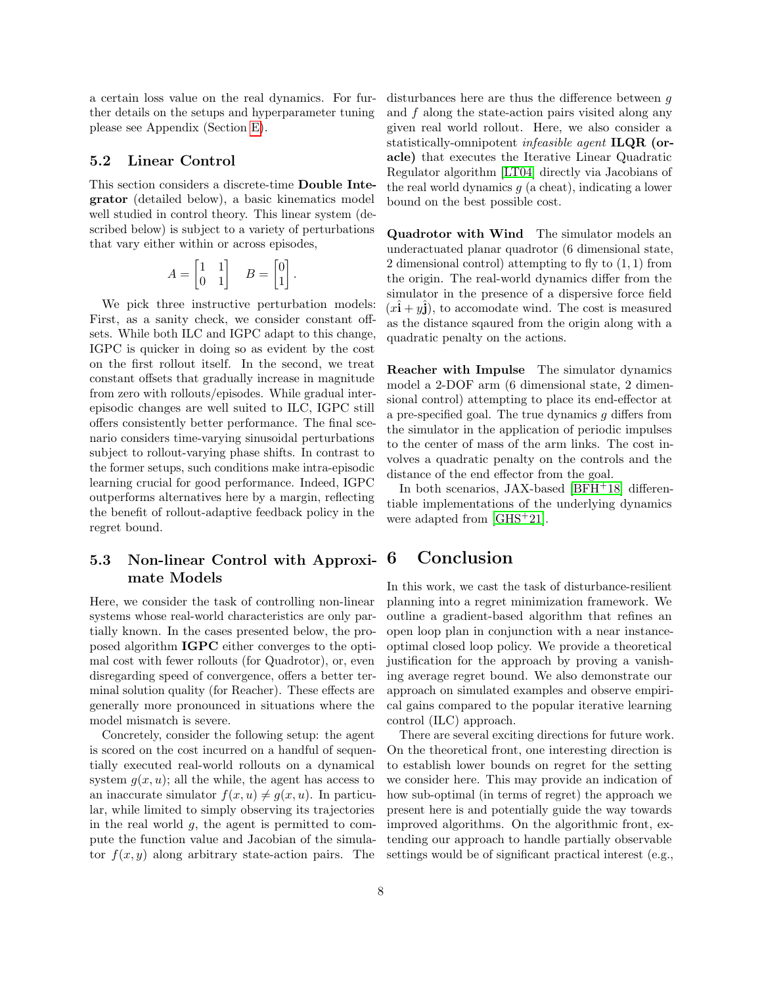a certain loss value on the real dynamics. For further details on the setups and hyperparameter tuning please see Appendix (Section [E\)](#page-23-0).

### 5.2 Linear Control

This section considers a discrete-time Double Integrator (detailed below), a basic kinematics model well studied in control theory. This linear system (described below) is subject to a variety of perturbations that vary either within or across episodes,

$$
A = \begin{bmatrix} 1 & 1 \\ 0 & 1 \end{bmatrix} \quad B = \begin{bmatrix} 0 \\ 1 \end{bmatrix}.
$$

We pick three instructive perturbation models: First, as a sanity check, we consider constant offsets. While both ILC and IGPC adapt to this change, IGPC is quicker in doing so as evident by the cost on the first rollout itself. In the second, we treat constant offsets that gradually increase in magnitude from zero with rollouts/episodes. While gradual interepisodic changes are well suited to ILC, IGPC still offers consistently better performance. The final scenario considers time-varying sinusoidal perturbations subject to rollout-varying phase shifts. In contrast to the former setups, such conditions make intra-episodic learning crucial for good performance. Indeed, IGPC outperforms alternatives here by a margin, reflecting the benefit of rollout-adaptive feedback policy in the regret bound.

### 5.3 Non-linear Control with Approximate Models

Here, we consider the task of controlling non-linear systems whose real-world characteristics are only partially known. In the cases presented below, the proposed algorithm IGPC either converges to the optimal cost with fewer rollouts (for Quadrotor), or, even disregarding speed of convergence, offers a better terminal solution quality (for Reacher). These effects are generally more pronounced in situations where the model mismatch is severe.

Concretely, consider the following setup: the agent is scored on the cost incurred on a handful of sequentially executed real-world rollouts on a dynamical system  $g(x, u)$ ; all the while, the agent has access to an inaccurate simulator  $f(x, u) \neq g(x, u)$ . In particular, while limited to simply observing its trajectories in the real world  $g$ , the agent is permitted to compute the function value and Jacobian of the simulator  $f(x, y)$  along arbitrary state-action pairs. The disturbances here are thus the difference between q and f along the state-action pairs visited along any given real world rollout. Here, we also consider a statistically-omnipotent infeasible agent ILQR (oracle) that executes the Iterative Linear Quadratic Regulator algorithm [\[LT04\]](#page-10-11) directly via Jacobians of the real world dynamics  $q$  (a cheat), indicating a lower bound on the best possible cost.

Quadrotor with Wind The simulator models an underactuated planar quadrotor (6 dimensional state, 2 dimensional control) attempting to fly to  $(1, 1)$  from the origin. The real-world dynamics differ from the simulator in the presence of a dispersive force field  $(x\hat{\mathbf{i}} + y\hat{\mathbf{j}})$ , to accomodate wind. The cost is measured as the distance sqaured from the origin along with a quadratic penalty on the actions.

Reacher with Impulse The simulator dynamics model a 2-DOF arm (6 dimensional state, 2 dimensional control) attempting to place its end-effector at a pre-specified goal. The true dynamics g differs from the simulator in the application of periodic impulses to the center of mass of the arm links. The cost involves a quadratic penalty on the controls and the distance of the end effector from the goal.

In both scenarios, JAX-based [\[BFH](#page-9-13)<sup>+</sup>18] differentiable implementations of the underlying dynamics were adapted from [\[GHS](#page-9-14)<sup>+</sup>21].

### 6 Conclusion

In this work, we cast the task of disturbance-resilient planning into a regret minimization framework. We outline a gradient-based algorithm that refines an open loop plan in conjunction with a near instanceoptimal closed loop policy. We provide a theoretical justification for the approach by proving a vanishing average regret bound. We also demonstrate our approach on simulated examples and observe empirical gains compared to the popular iterative learning control (ILC) approach.

There are several exciting directions for future work. On the theoretical front, one interesting direction is to establish lower bounds on regret for the setting we consider here. This may provide an indication of how sub-optimal (in terms of regret) the approach we present here is and potentially guide the way towards improved algorithms. On the algorithmic front, extending our approach to handle partially observable settings would be of significant practical interest (e.g.,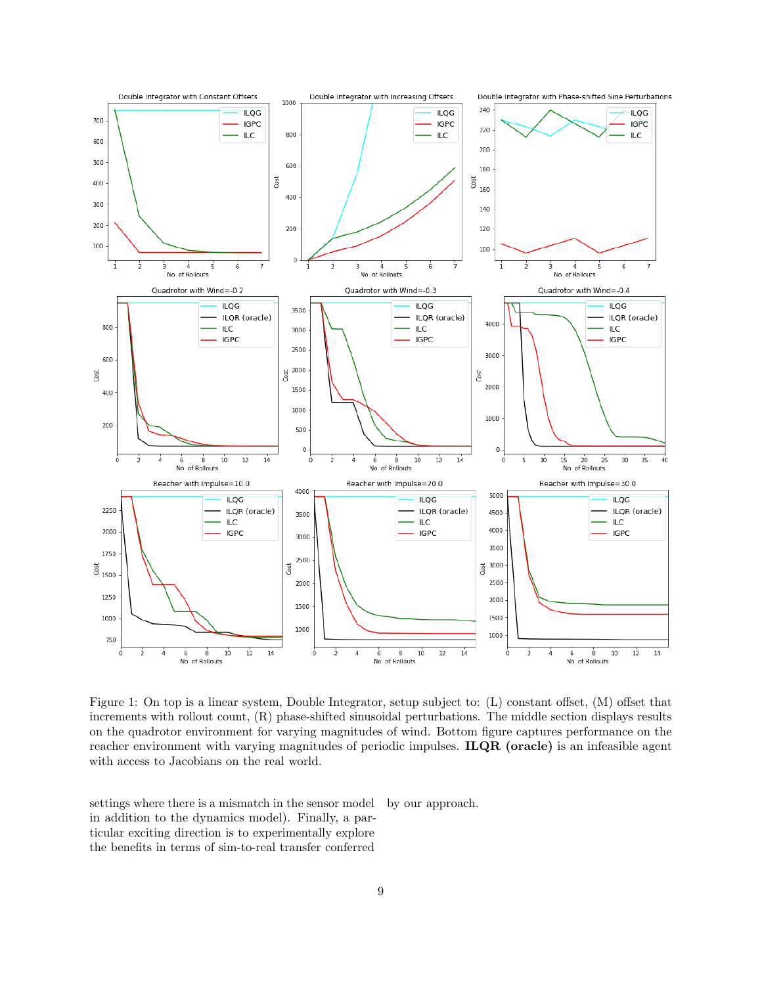<span id="page-8-0"></span>

Figure 1: On top is a linear system, Double Integrator, setup subject to: (L) constant offset, (M) offset that increments with rollout count, (R) phase-shifted sinusoidal perturbations. The middle section displays results on the quadrotor environment for varying magnitudes of wind. Bottom figure captures performance on the reacher environment with varying magnitudes of periodic impulses. **ILQR** (oracle) is an infeasible agent with access to Jacobians on the real world.

settings where there is a mismatch in the sensor model in addition to the dynamics model). Finally, a particular exciting direction is to experimentally explore the benefits in terms of sim-to-real transfer conferred by our approach.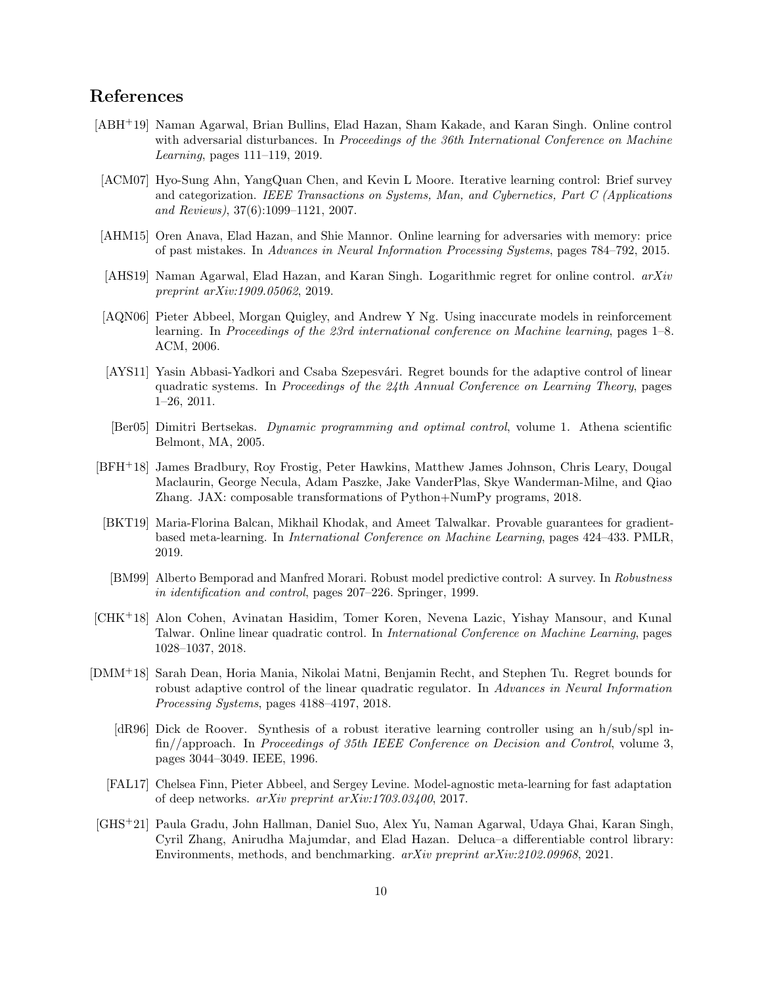# References

- <span id="page-9-0"></span>[ABH+19] Naman Agarwal, Brian Bullins, Elad Hazan, Sham Kakade, and Karan Singh. Online control with adversarial disturbances. In Proceedings of the 36th International Conference on Machine Learning, pages 111–119, 2019.
- <span id="page-9-1"></span>[ACM07] Hyo-Sung Ahn, YangQuan Chen, and Kevin L Moore. Iterative learning control: Brief survey and categorization. IEEE Transactions on Systems, Man, and Cybernetics, Part C (Applications and Reviews), 37(6):1099–1121, 2007.
- <span id="page-9-12"></span>[AHM15] Oren Anava, Elad Hazan, and Shie Mannor. Online learning for adversaries with memory: price of past mistakes. In Advances in Neural Information Processing Systems, pages 784–792, 2015.
- <span id="page-9-6"></span>[AHS19] Naman Agarwal, Elad Hazan, and Karan Singh. Logarithmic regret for online control.  $arXiv$ preprint arXiv:1909.05062, 2019.
- <span id="page-9-8"></span>[AQN06] Pieter Abbeel, Morgan Quigley, and Andrew Y Ng. Using inaccurate models in reinforcement learning. In Proceedings of the 23rd international conference on Machine learning, pages 1–8. ACM, 2006.
- <span id="page-9-3"></span>[AYS11] Yasin Abbasi-Yadkori and Csaba Szepesvári. Regret bounds for the adaptive control of linear quadratic systems. In Proceedings of the  $24th$  Annual Conference on Learning Theory, pages 1–26, 2011.
- <span id="page-9-2"></span>[Ber05] Dimitri Bertsekas. Dynamic programming and optimal control, volume 1. Athena scientific Belmont, MA, 2005.
- <span id="page-9-13"></span>[BFH+18] James Bradbury, Roy Frostig, Peter Hawkins, Matthew James Johnson, Chris Leary, Dougal Maclaurin, George Necula, Adam Paszke, Jake VanderPlas, Skye Wanderman-Milne, and Qiao Zhang. JAX: composable transformations of Python+NumPy programs, 2018.
- <span id="page-9-11"></span>[BKT19] Maria-Florina Balcan, Mikhail Khodak, and Ameet Talwalkar. Provable guarantees for gradientbased meta-learning. In International Conference on Machine Learning, pages 424–433. PMLR, 2019.
- <span id="page-9-7"></span>[BM99] Alberto Bemporad and Manfred Morari. Robust model predictive control: A survey. In Robustness in identification and control, pages 207–226. Springer, 1999.
- <span id="page-9-5"></span>[CHK+18] Alon Cohen, Avinatan Hasidim, Tomer Koren, Nevena Lazic, Yishay Mansour, and Kunal Talwar. Online linear quadratic control. In International Conference on Machine Learning, pages 1028–1037, 2018.
- <span id="page-9-9"></span><span id="page-9-4"></span>[DMM<sup>+</sup>18] Sarah Dean, Horia Mania, Nikolai Matni, Benjamin Recht, and Stephen Tu. Regret bounds for robust adaptive control of the linear quadratic regulator. In Advances in Neural Information Processing Systems, pages 4188–4197, 2018.
	- [dR96] Dick de Roover. Synthesis of a robust iterative learning controller using an h/sub/spl infin//approach. In Proceedings of 35th IEEE Conference on Decision and Control, volume 3, pages 3044–3049. IEEE, 1996.
	- [FAL17] Chelsea Finn, Pieter Abbeel, and Sergey Levine. Model-agnostic meta-learning for fast adaptation of deep networks. arXiv preprint arXiv:1703.03400, 2017.
- <span id="page-9-14"></span><span id="page-9-10"></span>[GHS<sup>+</sup>21] Paula Gradu, John Hallman, Daniel Suo, Alex Yu, Naman Agarwal, Udaya Ghai, Karan Singh, Cyril Zhang, Anirudha Majumdar, and Elad Hazan. Deluca–a differentiable control library: Environments, methods, and benchmarking. arXiv preprint arXiv:2102.09968, 2021.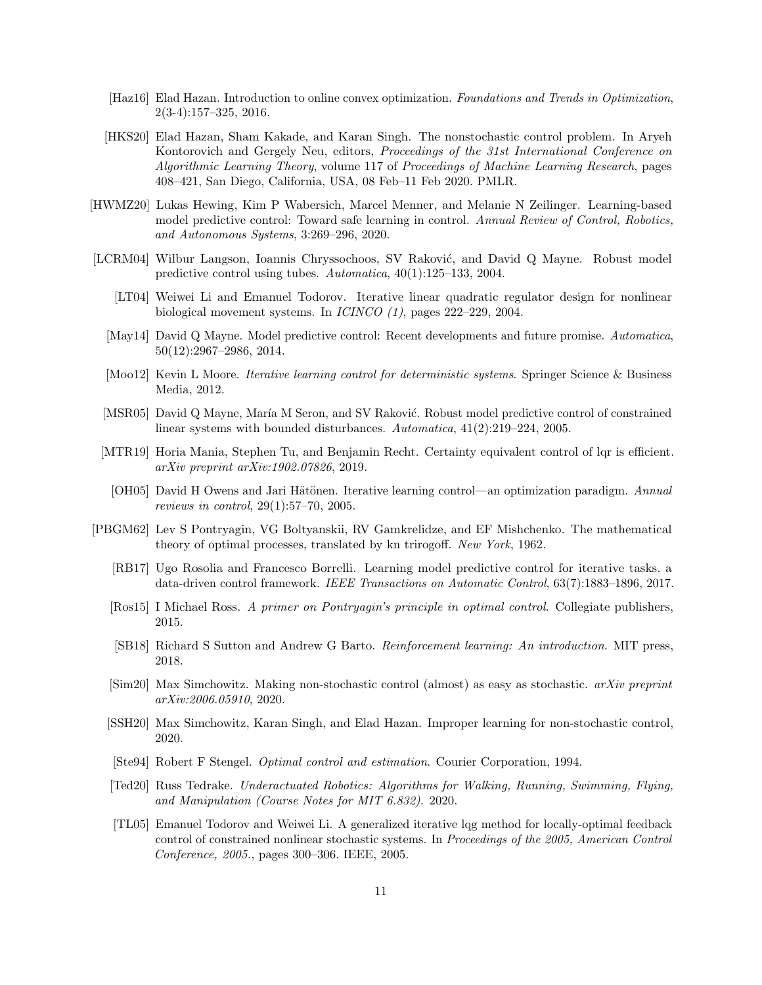- <span id="page-10-18"></span>[Haz16] Elad Hazan. Introduction to online convex optimization. Foundations and Trends in Optimization, 2(3-4):157–325, 2016.
- <span id="page-10-4"></span>[HKS20] Elad Hazan, Sham Kakade, and Karan Singh. The nonstochastic control problem. In Aryeh Kontorovich and Gergely Neu, editors, Proceedings of the 31st International Conference on Algorithmic Learning Theory, volume 117 of Proceedings of Machine Learning Research, pages 408–421, San Diego, California, USA, 08 Feb–11 Feb 2020. PMLR.
- <span id="page-10-15"></span>[HWMZ20] Lukas Hewing, Kim P Wabersich, Marcel Menner, and Melanie N Zeilinger. Learning-based model predictive control: Toward safe learning in control. Annual Review of Control, Robotics, and Autonomous Systems, 3:269–296, 2020.
- <span id="page-10-17"></span><span id="page-10-14"></span><span id="page-10-11"></span><span id="page-10-10"></span>[LCRM04] Wilbur Langson, Ioannis Chryssochoos, SV Raković, and David Q Mayne. Robust model predictive control using tubes. Automatica, 40(1):125–133, 2004.
	- [LT04] Weiwei Li and Emanuel Todorov. Iterative linear quadratic regulator design for nonlinear biological movement systems. In ICINCO (1), pages 222–229, 2004.
	- [May14] David Q Mayne. Model predictive control: Recent developments and future promise. Automatica, 50(12):2967–2986, 2014.
	- [Moo12] Kevin L Moore. *Iterative learning control for deterministic systems*. Springer Science & Business Media, 2012.
	- [MSR05] David Q Mayne, María M Seron, and SV Raković. Robust model predictive control of constrained linear systems with bounded disturbances. Automatica,  $41(2):219-224$ , 2005.
	- [MTR19] Horia Mania, Stephen Tu, and Benjamin Recht. Certainty equivalent control of lqr is efficient. arXiv preprint arXiv:1902.07826, 2019.
	- [OH05] David H Owens and Jari Hätönen. Iterative learning control—an optimization paradigm. Annual reviews in control, 29(1):57–70, 2005.
- <span id="page-10-16"></span><span id="page-10-13"></span><span id="page-10-12"></span><span id="page-10-9"></span><span id="page-10-8"></span><span id="page-10-7"></span><span id="page-10-6"></span><span id="page-10-5"></span><span id="page-10-3"></span><span id="page-10-2"></span><span id="page-10-1"></span><span id="page-10-0"></span>[PBGM62] Lev S Pontryagin, VG Boltyanskii, RV Gamkrelidze, and EF Mishchenko. The mathematical theory of optimal processes, translated by kn trirogoff. New York, 1962.
	- [RB17] Ugo Rosolia and Francesco Borrelli. Learning model predictive control for iterative tasks. a data-driven control framework. IEEE Transactions on Automatic Control, 63(7):1883–1896, 2017.
	- [Ros15] I Michael Ross. A primer on Pontryagin's principle in optimal control. Collegiate publishers, 2015.
	- [SB18] Richard S Sutton and Andrew G Barto. Reinforcement learning: An introduction. MIT press, 2018.
	- [Sim20] Max Simchowitz. Making non-stochastic control (almost) as easy as stochastic. arXiv preprint arXiv:2006.05910, 2020.
	- [SSH20] Max Simchowitz, Karan Singh, and Elad Hazan. Improper learning for non-stochastic control, 2020.
	- [Ste94] Robert F Stengel. Optimal control and estimation. Courier Corporation, 1994.
	- [Ted20] Russ Tedrake. Underactuated Robotics: Algorithms for Walking, Running, Swimming, Flying, and Manipulation (Course Notes for MIT 6.832). 2020.
	- [TL05] Emanuel Todorov and Weiwei Li. A generalized iterative lqg method for locally-optimal feedback control of constrained nonlinear stochastic systems. In Proceedings of the 2005, American Control Conference, 2005., pages 300–306. IEEE, 2005.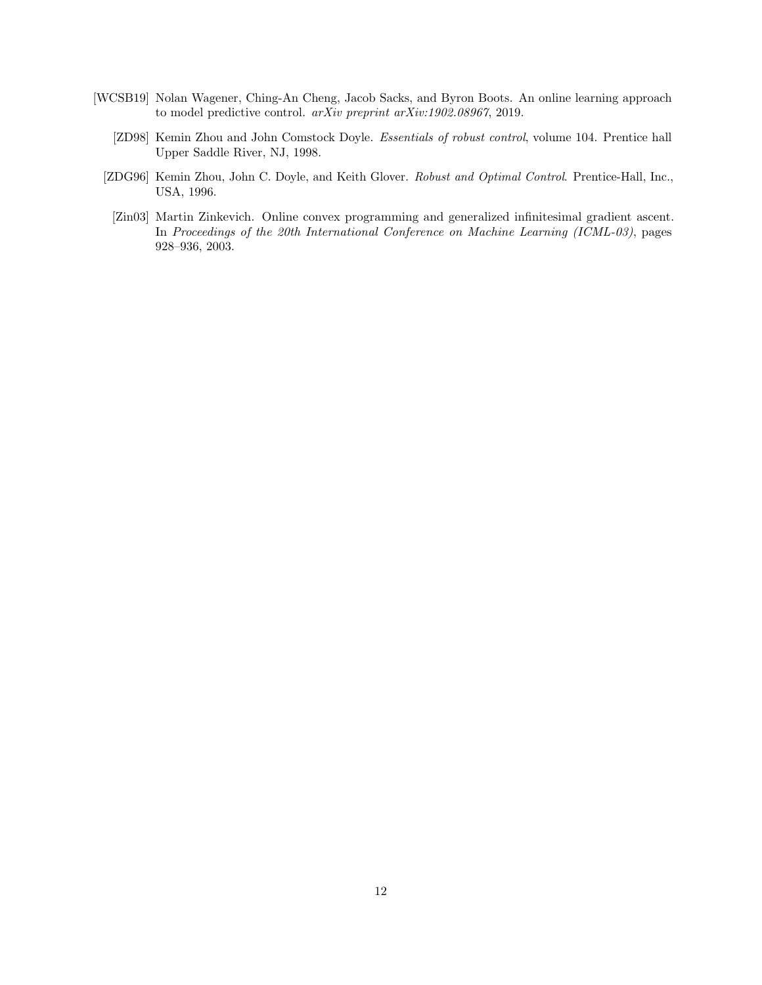- <span id="page-11-3"></span><span id="page-11-2"></span><span id="page-11-1"></span><span id="page-11-0"></span>[WCSB19] Nolan Wagener, Ching-An Cheng, Jacob Sacks, and Byron Boots. An online learning approach to model predictive control. arXiv preprint arXiv:1902.08967, 2019.
	- [ZD98] Kemin Zhou and John Comstock Doyle. Essentials of robust control, volume 104. Prentice hall Upper Saddle River, NJ, 1998.
	- [ZDG96] Kemin Zhou, John C. Doyle, and Keith Glover. Robust and Optimal Control. Prentice-Hall, Inc., USA, 1996.
	- [Zin03] Martin Zinkevich. Online convex programming and generalized infinitesimal gradient ascent. In Proceedings of the 20th International Conference on Machine Learning (ICML-03), pages 928–936, 2003.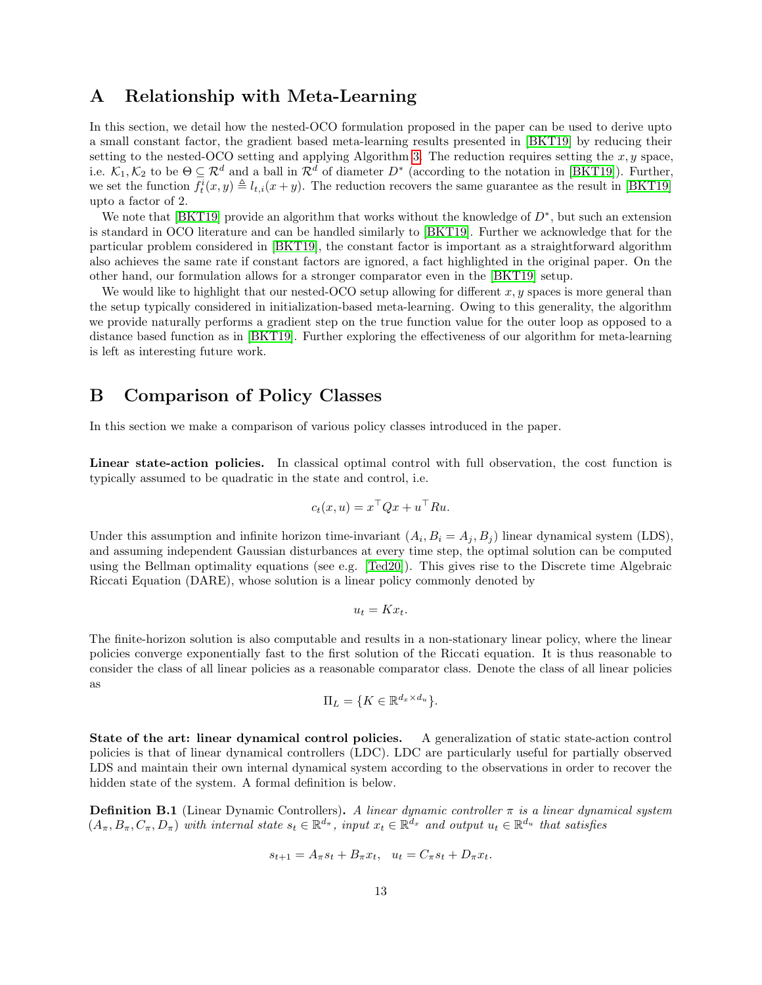### <span id="page-12-0"></span>A Relationship with Meta-Learning

In this section, we detail how the nested-OCO formulation proposed in the paper can be used to derive upto a small constant factor, the gradient based meta-learning results presented in [\[BKT19\]](#page-9-11) by reducing their setting to the nested-OCO setting and applying Algorithm [3.](#page-5-2) The reduction requires setting the  $x, y$  space, i.e.  $\mathcal{K}_1, \mathcal{K}_2$  to be  $\Theta \subseteq \mathcal{R}^d$  and a ball in  $\mathcal{R}^d$  of diameter  $D^*$  (according to the notation in [\[BKT19\]](#page-9-11)). Further, we set the function  $f_t^i(x, y) \triangleq l_{t,i}(x + y)$ . The reduction recovers the same guarantee as the result in [\[BKT19\]](#page-9-11) upto a factor of 2.

We note that [\[BKT19\]](#page-9-11) provide an algorithm that works without the knowledge of  $D^*$ , but such an extension is standard in OCO literature and can be handled similarly to [\[BKT19\]](#page-9-11). Further we acknowledge that for the particular problem considered in [\[BKT19\]](#page-9-11), the constant factor is important as a straightforward algorithm also achieves the same rate if constant factors are ignored, a fact highlighted in the original paper. On the other hand, our formulation allows for a stronger comparator even in the [\[BKT19\]](#page-9-11) setup.

We would like to highlight that our nested-OCO setup allowing for different  $x, y$  spaces is more general than the setup typically considered in initialization-based meta-learning. Owing to this generality, the algorithm we provide naturally performs a gradient step on the true function value for the outer loop as opposed to a distance based function as in [\[BKT19\]](#page-9-11). Further exploring the effectiveness of our algorithm for meta-learning is left as interesting future work.

# <span id="page-12-1"></span>B Comparison of Policy Classes

In this section we make a comparison of various policy classes introduced in the paper.

Linear state-action policies. In classical optimal control with full observation, the cost function is typically assumed to be quadratic in the state and control, i.e.

$$
c_t(x, u) = x^\top Q x + u^\top R u.
$$

Under this assumption and infinite horizon time-invariant  $(A_i, B_i = A_j, B_j)$  linear dynamical system (LDS), and assuming independent Gaussian disturbances at every time step, the optimal solution can be computed using the Bellman optimality equations (see e.g. [\[Ted20\]](#page-10-7)). This gives rise to the Discrete time Algebraic Riccati Equation (DARE), whose solution is a linear policy commonly denoted by

$$
u_t = Kx_t.
$$

The finite-horizon solution is also computable and results in a non-stationary linear policy, where the linear policies converge exponentially fast to the first solution of the Riccati equation. It is thus reasonable to consider the class of all linear policies as a reasonable comparator class. Denote the class of all linear policies as

$$
\Pi_L = \{ K \in \mathbb{R}^{d_x \times d_u} \}.
$$

State of the art: linear dynamical control policies. A generalization of static state-action control policies is that of linear dynamical controllers (LDC). LDC are particularly useful for partially observed LDS and maintain their own internal dynamical system according to the observations in order to recover the hidden state of the system. A formal definition is below.

**Definition B.1** (Linear Dynamic Controllers). A linear dynamic controller  $\pi$  is a linear dynamical system  $(A_\pi, B_\pi, C_\pi, D_\pi)$  with internal state  $s_t \in \mathbb{R}^{d_\pi}$ , input  $x_t \in \mathbb{R}^{d_x}$  and output  $u_t \in \mathbb{R}^{d_u}$  that satisfies

$$
s_{t+1} = A_{\pi} s_t + B_{\pi} x_t, \ \ u_t = C_{\pi} s_t + D_{\pi} x_t.
$$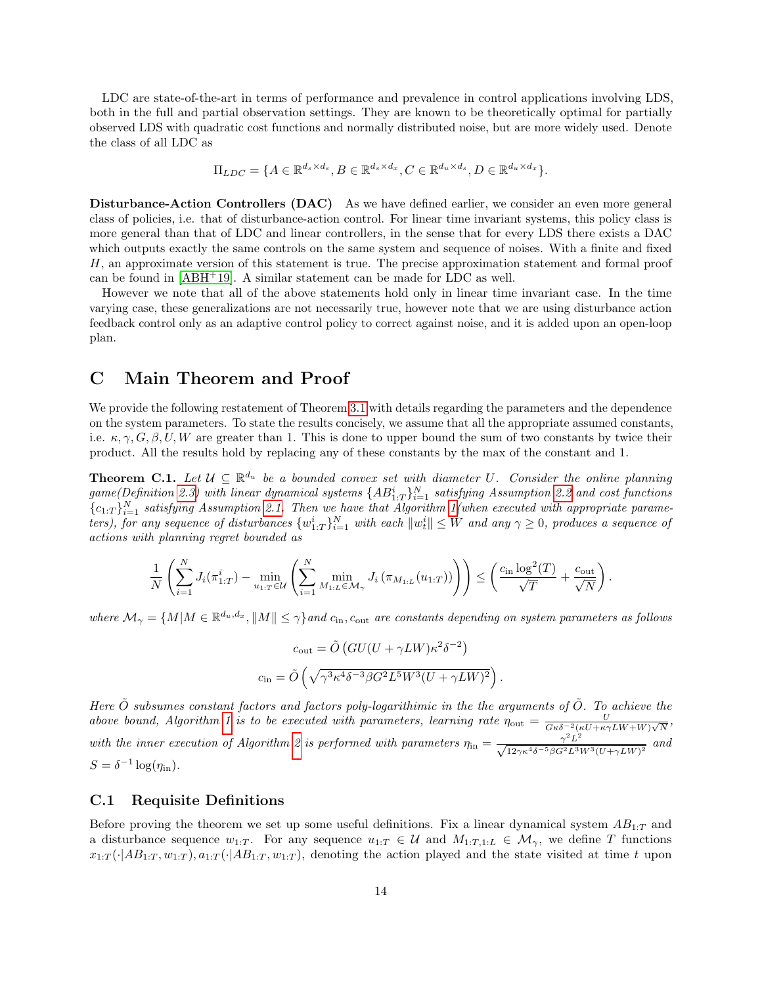LDC are state-of-the-art in terms of performance and prevalence in control applications involving LDS, both in the full and partial observation settings. They are known to be theoretically optimal for partially observed LDS with quadratic cost functions and normally distributed noise, but are more widely used. Denote the class of all LDC as

$$
\Pi_{LDC} = \{ A \in \mathbb{R}^{d_s \times d_s}, B \in \mathbb{R}^{d_s \times d_x}, C \in \mathbb{R}^{d_u \times d_s}, D \in \mathbb{R}^{d_u \times d_x} \}.
$$

Disturbance-Action Controllers (DAC) As we have defined earlier, we consider an even more general class of policies, i.e. that of disturbance-action control. For linear time invariant systems, this policy class is more general than that of LDC and linear controllers, in the sense that for every LDS there exists a DAC which outputs exactly the same controls on the same system and sequence of noises. With a finite and fixed H, an approximate version of this statement is true. The precise approximation statement and formal proof can be found in  $[ABH^+19]$  $[ABH^+19]$ . A similar statement can be made for LDC as well.

However we note that all of the above statements hold only in linear time invariant case. In the time varying case, these generalizations are not necessarily true, however note that we are using disturbance action feedback control only as an adaptive control policy to correct against noise, and it is added upon an open-loop plan.

## <span id="page-13-0"></span>C Main Theorem and Proof

We provide the following restatement of Theorem [3.1](#page-4-5) with details regarding the parameters and the dependence on the system parameters. To state the results concisely, we assume that all the appropriate assumed constants, i.e.  $\kappa, \gamma, G, \beta, U, W$  are greater than 1. This is done to upper bound the sum of two constants by twice their product. All the results hold by replacing any of these constants by the max of the constant and 1.

**Theorem C.1.** Let  $\mathcal{U} \subseteq \mathbb{R}^{d_u}$  be a bounded convex set with diameter U. Consider the online planning  $game (Definition 2.3) \ with \ linear \ dynamical \ systems \ {AB_{1:T}^i\}_{i=1}^N \ satisfying \ Assumption \ 2.2 \ and \ cost \ functions$  $game (Definition 2.3) \ with \ linear \ dynamical \ systems \ {AB_{1:T}^i\}_{i=1}^N \ satisfying \ Assumption \ 2.2 \ and \ cost \ functions$  $game (Definition 2.3) \ with \ linear \ dynamical \ systems \ {AB_{1:T}^i\}_{i=1}^N \ satisfying \ Assumption \ 2.2 \ and \ cost \ functions$  $game (Definition 2.3) \ with \ linear \ dynamical \ systems \ {AB_{1:T}^i\}_{i=1}^N \ satisfying \ Assumption \ 2.2 \ and \ cost \ functions$  $game (Definition 2.3) \ with \ linear \ dynamical \ systems \ {AB_{1:T}^i\}_{i=1}^N \ satisfying \ Assumption \ 2.2 \ and \ cost \ functions$  ${c_{1:T}}_{i=1}^N$  satisfying Assumption [2.1.](#page-3-3) Then we have that Algorithm [1\(](#page-4-2)when executed with appropriate parameters), for any sequence of disturbances  $\{w_{1:T}^i\}_{i=1}^N$  with each  $||w_t^i|| \leq W$  and any  $\gamma \geq 0$ , produces a sequence of actions with planning regret bounded as

$$
\frac{1}{N} \left( \sum_{i=1}^N J_i(\pi_{1:T}^i) - \min_{u_{1:T} \in \mathcal{U}} \left( \sum_{i=1}^N \min_{M_{1:L} \in \mathcal{M}_{\gamma}} J_i(\pi_{M_{1:L}}(u_{1:T})) \right) \right) \leq \left( \frac{c_{\text{in}} \log^2(T)}{\sqrt{T}} + \frac{c_{\text{out}}}{\sqrt{N}} \right).
$$

where  $\mathcal{M}_{\gamma} = \{M | M \in \mathbb{R}^{d_u, d_x}, \|M\| \leq \gamma\}$  and  $c_{\text{in}}$ ,  $c_{\text{out}}$  are constants depending on system parameters as follows

$$
c_{\text{out}} = \tilde{O}\left(GU(U + \gamma LW)\kappa^2 \delta^{-2}\right)
$$
  

$$
c_{\text{in}} = \tilde{O}\left(\sqrt{\gamma^3 \kappa^4 \delta^{-3} \beta G^2 L^5 W^3 (U + \gamma LW)^2}\right).
$$

Here  $\tilde{O}$  subsumes constant factors and factors poly-logarithimic in the the arguments of  $\tilde{O}$ . To achieve the above bound, Algorithm [1](#page-4-2) is to be executed with parameters, learning rate  $\eta_{\text{out}} = \frac{U}{C_F \delta^{-2} (vU + \kappa^2)}$  $\frac{U}{G\kappa\delta^{-2}(\kappa U+\kappa\gamma LW+W)\sqrt{N}},$ with the inner execution of Algorithm [2](#page-5-0) is performed with parameters  $\eta_{\rm in} = \frac{\gamma^2 L^2}{\sqrt{12\gamma\kappa^4\delta^{-5}\beta G^2L^3W^3(U+\gamma LW)^2}}$  and  $S = \delta^{-1} \log(\eta_{\text{in}}).$ 

### C.1 Requisite Definitions

Before proving the theorem we set up some useful definitions. Fix a linear dynamical system  $AB_{1:T}$  and a disturbance sequence  $w_{1:T}$ . For any sequence  $u_{1:T} \in \mathcal{U}$  and  $M_{1:T,1:L} \in \mathcal{M}_{\gamma}$ , we define T functions  $x_{1:T}(\cdot|AB_{1:T}, w_{1:T}), a_{1:T}(\cdot|AB_{1:T}, w_{1:T})$ , denoting the action played and the state visited at time t upon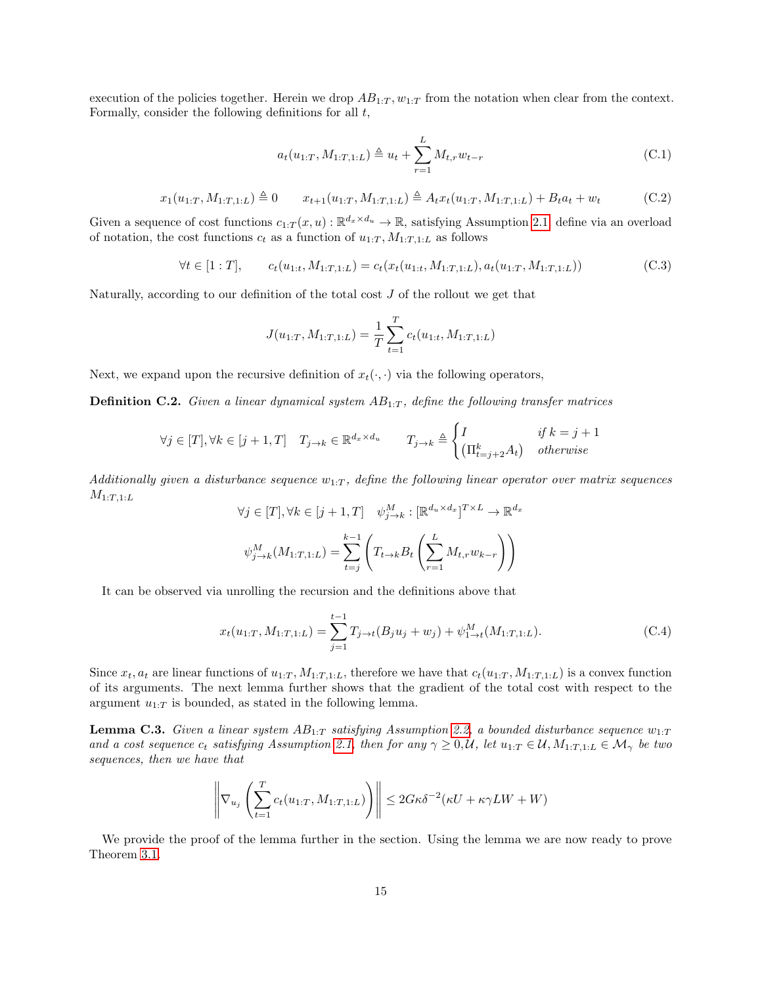<span id="page-14-2"></span>execution of the policies together. Herein we drop  $AB_{1:T}$ ,  $w_{1:T}$  from the notation when clear from the context. Formally, consider the following definitions for all  $t$ ,

<span id="page-14-4"></span>
$$
a_t(u_{1:T}, M_{1:T,1:L}) \triangleq u_t + \sum_{r=1}^{L} M_{t,r} w_{t-r}
$$
\n(C.1)

$$
x_1(u_{1:T}, M_{1:T,1:L}) \triangleq 0 \qquad x_{t+1}(u_{1:T}, M_{1:T,1:L}) \triangleq A_t x_t(u_{1:T}, M_{1:T,1:L}) + B_t a_t + w_t \tag{C.2}
$$

<span id="page-14-3"></span>Given a sequence of cost functions  $c_{1:T}(x, u): \mathbb{R}^{d_x \times d_u} \to \mathbb{R}$ , satisfying Assumption [2.1,](#page-3-3) define via an overload of notation, the cost functions  $c_t$  as a function of  $u_{1:T}$ ,  $M_{1:T,1:L}$  as follows

$$
\forall t \in [1:T], \qquad c_t(u_{1:t}, M_{1:T,1:L}) = c_t(x_t(u_{1:t}, M_{1:T,1:L}), a_t(u_{1:T}, M_{1:T,1:L})) \tag{C.3}
$$

Naturally, according to our definition of the total cost J of the rollout we get that

$$
J(u_{1:T}, M_{1:T,1:L}) = \frac{1}{T} \sum_{t=1}^{T} c_t(u_{1:t}, M_{1:T,1:L})
$$

Next, we expand upon the recursive definition of  $x_t(\cdot, \cdot)$  via the following operators,

<span id="page-14-1"></span>**Definition C.2.** Given a linear dynamical system  $AB_{1:T}$ , define the following transfer matrices

$$
\forall j \in [T], \forall k \in [j+1, T] \quad T_{j \to k} \in \mathbb{R}^{d_x \times d_u} \qquad T_{j \to k} \triangleq \begin{cases} I & \text{if } k = j+1 \\ \left(\prod_{t=j+2}^k A_t\right) & \text{otherwise} \end{cases}
$$

Additionally given a disturbance sequence  $w_{1:T}$ , define the following linear operator over matrix sequences  $M_{1:T,1:L}$ 

<span id="page-14-5"></span>
$$
\forall j \in [T], \forall k \in [j+1, T] \quad \psi_{j \to k}^M : [\mathbb{R}^{d_u \times d_x}]^{T \times L} \to \mathbb{R}^{d_x}
$$

$$
\psi_{j \to k}^M(M_{1:T, 1:L}) = \sum_{t=j}^{k-1} \left( T_{t \to k} B_t \left( \sum_{r=1}^L M_{t,r} w_{k-r} \right) \right)
$$

It can be observed via unrolling the recursion and the definitions above that

$$
x_t(u_{1:T}, M_{1:T,1:L}) = \sum_{j=1}^{t-1} T_{j \to t}(B_j u_j + w_j) + \psi_{1 \to t}^M(M_{1:T,1:L}).
$$
 (C.4)

Since  $x_t$ ,  $a_t$  are linear functions of  $u_{1:T}$ ,  $M_{1:T,1:L}$ , therefore we have that  $c_t(u_{1:T}, M_{1:T,1:L})$  is a convex function of its arguments. The next lemma further shows that the gradient of the total cost with respect to the argument  $u_{1:T}$  is bounded, as stated in the following lemma.

<span id="page-14-0"></span>**Lemma C.3.** Given a linear system  $AB_{1:T}$  satisfying Assumption [2.2,](#page-3-0) a bounded disturbance sequence  $w_{1:T}$ and a cost sequence  $c_t$  satisfying Assumption [2.1,](#page-3-3) then for any  $\gamma \geq 0, \mathcal{U}$ , let  $u_{1:T} \in \mathcal{U}$ ,  $M_{1:T,1:L} \in \mathcal{M}_{\gamma}$  be two sequences, then we have that

$$
\left\|\nabla_{u_j}\left(\sum_{t=1}^T c_t(u_{1:T}, M_{1:T,1:L})\right)\right\| \le 2G\kappa\delta^{-2}(\kappa U + \kappa\gamma LW + W)
$$

We provide the proof of the lemma further in the section. Using the lemma we are now ready to prove Theorem [3.1.](#page-4-5)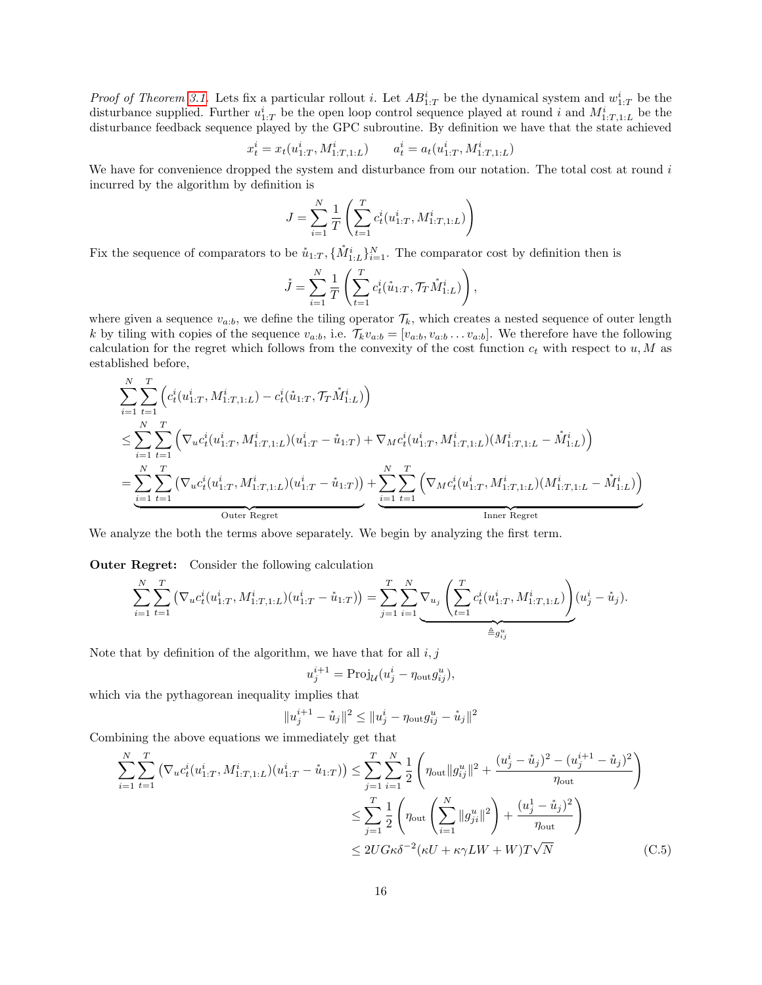*Proof of Theorem [3.1.](#page-4-5)* Lets fix a particular rollout *i*. Let  $AB_{1:T}^i$  be the dynamical system and  $w_{1:T}^i$  be the disturbance supplied. Further  $u_{1:T}^i$  be the open loop control sequence played at round i and  $M_{1:T,1:L}^i$  be the disturbance feedback sequence played by the GPC subroutine. By definition we have that the state achieved

$$
x_t^i = x_t(u_{1:T}^i, M_{1:T,1:L}^i) \qquad a_t^i = a_t(u_{1:T}^i, M_{1:T,1:L}^i)
$$

We have for convenience dropped the system and disturbance from our notation. The total cost at round  $i$ incurred by the algorithm by definition is

$$
J = \sum_{i=1}^{N} \frac{1}{T} \left( \sum_{t=1}^{T} c_t^i(u_{1:T}^i, M_{1:T,1:L}^i) \right)
$$

Fix the sequence of comparators to be  $\mathring{u}_{1:T}$ ,  $\{\mathring{M}^i_{1:L}\}_{i=1}^N$ . The comparator cost by definition then is

$$
\mathring{J} = \sum_{i=1}^{N} \frac{1}{T} \left( \sum_{t=1}^{T} c_t^i(\mathring{u}_{1:T}, \mathcal{T}_T \mathring{M}_{1:L}^i) \right),
$$

where given a sequence  $v_{a:b}$ , we define the tiling operator  $\mathcal{T}_k$ , which creates a nested sequence of outer length k by tiling with copies of the sequence  $v_{a:b}$ , i.e.  $\mathcal{T}_kv_{a:b} = [v_{a:b}, v_{a:b} \dots v_{a:b}]$ . We therefore have the following calculation for the regret which follows from the convexity of the cost function  $c_t$  with respect to  $u, M$  as established before,

$$
\sum_{i=1}^{N} \sum_{t=1}^{T} \left( c_t^i(u_{1:T}^i, M_{1:T,1:L}^i) - c_t^i(\mathring{u}_{1:T}, \mathcal{T}_T \mathring{M}_{1:L}^i) \right)
$$
\n
$$
\leq \sum_{i=1}^{N} \sum_{t=1}^{T} \left( \nabla_u c_t^i(u_{1:T}^i, M_{1:T,1:L}^i)(u_{1:T}^i - \mathring{u}_{1:T}) + \nabla_M c_t^i(u_{1:T}^i, M_{1:T,1:L}^i)(M_{1:T,1:L}^i - \mathring{M}_{1:L}^i) \right)
$$
\n
$$
= \underbrace{\sum_{i=1}^{N} \sum_{t=1}^{T} \left( \nabla_u c_t^i(u_{1:T}^i, M_{1:T,1:L}^i)(u_{1:T}^i - \mathring{u}_{1:T}) \right)}_{\text{Outer Regret}} + \underbrace{\sum_{i=1}^{N} \sum_{t=1}^{T} \left( \nabla_M c_t^i(u_{1:T}^i, M_{1:T,1:L}^i)(M_{1:T,1:L}^i - \mathring{M}_{1:L}^i) \right)}_{\text{Inner Regret}}
$$

We analyze the both the terms above separately. We begin by analyzing the first term.

Outer Regret: Consider the following calculation

$$
\sum_{i=1}^{N} \sum_{t=1}^{T} \left( \nabla_u c_t^i(u_{1:T}^i, M_{1:T,1:L}^i)(u_{1:T}^i - \mathring{u}_{1:T}) \right) = \sum_{j=1}^{T} \sum_{i=1}^{N} \nabla_{u_j} \left( \sum_{t=1}^{T} c_t^i(u_{1:T}^i, M_{1:T,1:L}^i) \right) (u_j^i - \mathring{u}_j).
$$

Note that by definition of the algorithm, we have that for all  $i, j$ 

$$
u_j^{i+1} = \text{Proj}_{\mathcal{U}}(u_j^i - \eta_{\text{out}} g_{ij}^u),
$$

which via the pythagorean inequality implies that

$$
||u_j^{i+1} - u_j||^2 \le ||u_j^i - \eta_{\text{out}} g_{ij}^u - u_j||^2
$$

Combining the above equations we immediately get that

$$
\sum_{i=1}^{N} \sum_{t=1}^{T} \left( \nabla_u c_t^i (u_{1:T}^i, M_{1:T,1:L}^i) (u_{1:T}^i - \mathring{u}_{1:T}) \right) \le \sum_{j=1}^{T} \sum_{i=1}^{N} \frac{1}{2} \left( \eta_{\text{out}} ||g_{ij}^u||^2 + \frac{(u_j^i - \mathring{u}_j)^2 - (u_j^{i+1} - \mathring{u}_j)^2}{\eta_{\text{out}}} \right)
$$
  

$$
\le \sum_{j=1}^{T} \frac{1}{2} \left( \eta_{\text{out}} \left( \sum_{i=1}^{N} ||g_{ji}^u||^2 \right) + \frac{(u_j^1 - \mathring{u}_j)^2}{\eta_{\text{out}}} \right)
$$
  

$$
\le 2U G \kappa \delta^{-2} (\kappa U + \kappa \gamma L W + W) T \sqrt{N}
$$
(C.5)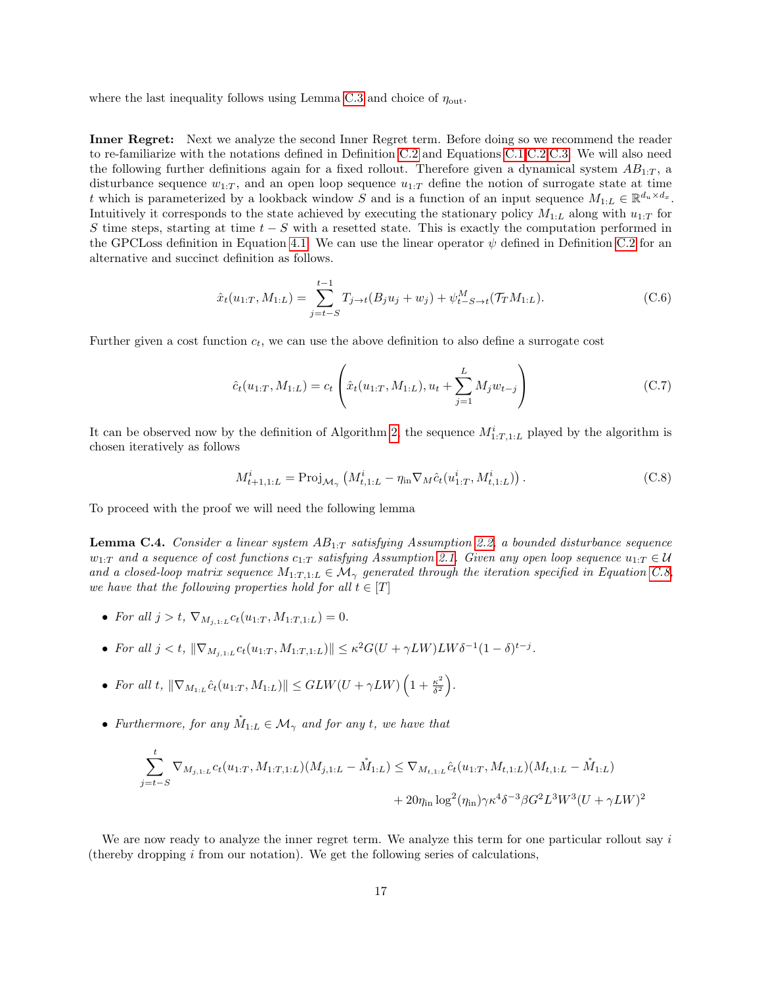where the last inequality follows using Lemma [C.3](#page-14-0) and choice of  $\eta_{\text{out}}$ .

Inner Regret: Next we analyze the second Inner Regret term. Before doing so we recommend the reader to re-familiarize with the notations defined in Definition [C.2](#page-14-1) and Equations [C.1,](#page-14-2)[C.2,](#page-14-3)[C.3.](#page-14-4) We will also need the following further definitions again for a fixed rollout. Therefore given a dynamical system  $AB_{1:T}$ , a disturbance sequence  $w_{1:T}$ , and an open loop sequence  $u_{1:T}$  define the notion of surrogate state at time t which is parameterized by a lookback window S and is a function of an input sequence  $M_{1:L} \in \mathbb{R}^{d_u \times d_x}$ . Intuitively it corresponds to the state achieved by executing the stationary policy  $M_{1:L}$  along with  $u_{1:T}$  for S time steps, starting at time  $t - S$  with a resetted state. This is exactly the computation performed in the GPCLoss definition in Equation [4.1.](#page-6-1) We can use the linear operator  $\psi$  defined in Definition [C.2](#page-14-1) for an alternative and succinct definition as follows.

<span id="page-16-2"></span>
$$
\hat{x}_t(u_{1:T}, M_{1:L}) = \sum_{j=t-S}^{t-1} T_{j\to t}(B_j u_j + w_j) + \psi_{t-S \to t}^M(\mathcal{T}_T M_{1:L}).
$$
\n(C.6)

Further given a cost function  $c_t$ , we can use the above definition to also define a surrogate cost

$$
\hat{c}_t(u_{1:T}, M_{1:L}) = c_t \left( \hat{x}_t(u_{1:T}, M_{1:L}), u_t + \sum_{j=1}^L M_j w_{t-j} \right)
$$
\n(C.7)

It can be observed now by the definition of Algorithm [2,](#page-5-0) the sequence  $M^i_{1:T,1:L}$  played by the algorithm is chosen iteratively as follows

<span id="page-16-1"></span>
$$
M_{t+1,1:L}^{i} = \text{Proj}_{\mathcal{M}_{\gamma}} \left( M_{t,1:L}^{i} - \eta_{\text{in}} \nabla_{M} \hat{c}_{t}(u_{1:T}^{i}, M_{t,1:L}^{i}) \right). \tag{C.8}
$$

To proceed with the proof we will need the following lemma

<span id="page-16-0"></span>**Lemma C.4.** Consider a linear system  $AB_{1:T}$  satisfying Assumption [2.2,](#page-3-0) a bounded disturbance sequence  $w_{1:T}$  and a sequence of cost functions  $c_{1:T}$  satisfying Assumption [2.1.](#page-3-3) Given any open loop sequence  $u_{1:T} \in \mathcal{U}$ and a closed-loop matrix sequence  $M_{1:T,1:L} \in \mathcal{M}_{\gamma}$  generated through the iteration specified in Equation [C.8,](#page-16-1) we have that the following properties hold for all  $t \in [T]$ 

- For all  $j > t$ ,  $\nabla_{M_{j,1:L}} c_t(u_{1:T}, M_{1:T,1:L}) = 0$ .
- For all  $j < t$ ,  $\|\nabla_{M_{j,1:L}} c_t(u_{1:T}, M_{1:T,1:L})\| \leq \kappa^2 G(U + \gamma LW)LW\delta^{-1}(1 \delta)^{t-j}$ .
- For all t,  $\|\nabla_{M_{1:L}}\hat{c}_t(u_{1:T}, M_{1:L})\| \leq GLW(U+\gamma LW)\left(1+\frac{\kappa^2}{\delta^2}\right)$  $\frac{\kappa^2}{\delta^2}\bigg).$
- Furthermore, for any  $\dot{M}_{1:L} \in \mathcal{M}_{\gamma}$  and for any t, we have that

$$
\sum_{j=t-S}^{t} \nabla_{M_{j,1:L}} c_t(u_{1:T}, M_{1:T,1:L})(M_{j,1:L} - \mathring{M}_{1:L}) \leq \nabla_{M_{t,1:L}} \hat{c}_t(u_{1:T}, M_{t,1:L})(M_{t,1:L} - \mathring{M}_{1:L}) + 20\eta_{\text{in}} \log^2(\eta_{\text{in}}) \gamma \kappa^4 \delta^{-3} \beta G^2 L^3 W^3 (U + \gamma L W)^2
$$

We are now ready to analyze the inner regret term. We analyze this term for one particular rollout say  $i$ (thereby dropping  $i$  from our notation). We get the following series of calculations,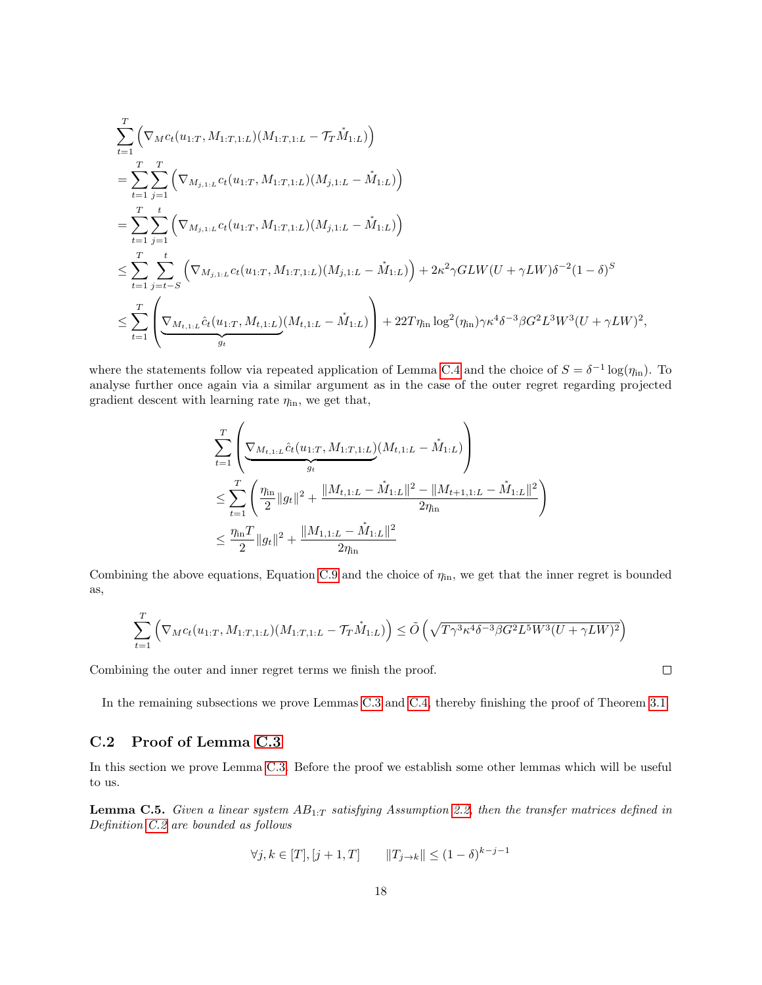$$
\sum_{t=1}^{T} \left( \nabla_{M} c_{t}(u_{1:T}, M_{1:T,1:L})(M_{1:T,1:L} - \mathcal{T}_{T} \dot{M}_{1:L}) \right)
$$
\n
$$
= \sum_{t=1}^{T} \sum_{j=1}^{T} \left( \nabla_{M_{j,1:L}} c_{t}(u_{1:T}, M_{1:T,1:L})(M_{j,1:L} - \dot{M}_{1:L}) \right)
$$
\n
$$
= \sum_{t=1}^{T} \sum_{j=1}^{t} \left( \nabla_{M_{j,1:L}} c_{t}(u_{1:T}, M_{1:T,1:L})(M_{j,1:L} - \dot{M}_{1:L}) \right)
$$
\n
$$
\leq \sum_{t=1}^{T} \sum_{j=t-S}^{t} \left( \nabla_{M_{j,1:L}} c_{t}(u_{1:T}, M_{1:T,1:L})(M_{j,1:L} - \dot{M}_{1:L}) \right) + 2\kappa^{2} \gamma GLW(U + \gamma LW) \delta^{-2} (1 - \delta)^{S}
$$
\n
$$
\leq \sum_{t=1}^{T} \left( \nabla_{M_{t,1:L}} \hat{c}_{t}(u_{1:T}, M_{t,1:L})(M_{t,1:L} - \dot{M}_{1:L}) \right) + 22T \eta_{\text{in}} \log^{2}(\eta_{\text{in}}) \gamma \kappa^{4} \delta^{-3} \beta G^{2} L^{3} W^{3} (U + \gamma LW)^{2},
$$

where the statements follow via repeated application of Lemma [C.4](#page-16-0) and the choice of  $S = \delta^{-1} \log(\eta_{\rm in})$ . To analyse further once again via a similar argument as in the case of the outer regret regarding projected gradient descent with learning rate  $\eta_{\text{in}}$ , we get that,

$$
\sum_{t=1}^{T} \left( \underbrace{\nabla_{M_{t,1:L}} \hat{c}_t(u_{1:T}, M_{1:T,1:L})}_{g_t}(M_{t,1:L} - \dot{M}_{1:L}) \right) \n\leq \sum_{t=1}^{T} \left( \frac{\eta_{\text{in}}}{2} \|g_t\|^2 + \frac{\|M_{t,1:L} - \dot{M}_{1:L}\|^2 - \|M_{t+1,1:L} - \dot{M}_{1:L}\|^2}{2\eta_{\text{in}}} \right) \n\leq \frac{\eta_{\text{in}} T}{2} \|g_t\|^2 + \frac{\|M_{1,1:L} - \dot{M}_{1:L}\|^2}{2\eta_{\text{in}}}.
$$

Combining the above equations, Equation [C.9](#page-20-0) and the choice of  $\eta_{\text{in}}$ , we get that the inner regret is bounded as,

$$
\sum_{t=1}^{T} \left( \nabla_{M} c_{t}(u_{1:T}, M_{1:T,1:L})(M_{1:T,1:L} - \mathcal{T}_{T} \mathring{M}_{1:L}) \right) \le \tilde{O}\left(\sqrt{T \gamma^{3} \kappa^{4} \delta^{-3} \beta G^{2} L^{5} W^{3} (U + \gamma L W)^{2}}\right)
$$

Combining the outer and inner regret terms we finish the proof.

In the remaining subsections we prove Lemmas [C.3](#page-14-0) and [C.4,](#page-16-0) thereby finishing the proof of Theorem [3.1.](#page-4-5)

### C.2 Proof of Lemma [C.3](#page-14-0)

In this section we prove Lemma [C.3.](#page-14-0) Before the proof we establish some other lemmas which will be useful to us.

<span id="page-17-0"></span>**Lemma C.5.** Given a linear system  $AB_{1:T}$  satisfying Assumption [2.2,](#page-3-0) then the transfer matrices defined in Definition [C.2](#page-14-1) are bounded as follows

$$
\forall j, k \in [T], [j+1, T]
$$
  $||T_{j\to k}|| \leq (1-\delta)^{k-j-1}$ 

 $\Box$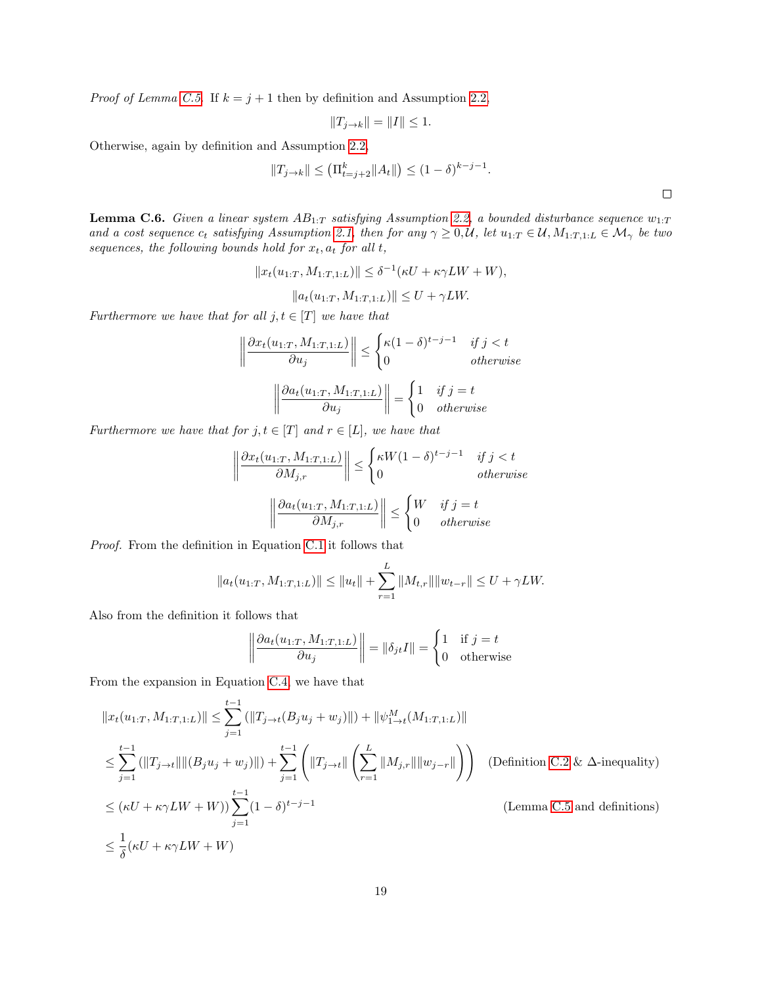*Proof of Lemma [C.5.](#page-17-0)* If  $k = j + 1$  then by definition and Assumption [2.2,](#page-3-0)

$$
||T_{j\rightarrow k}|| = ||I|| \le 1.
$$

Otherwise, again by definition and Assumption [2.2,](#page-3-0)

$$
||T_{j\to k}|| \leq (\Pi_{t=j+2}^k ||A_t||) \leq (1-\delta)^{k-j-1}.
$$

<span id="page-18-0"></span>**Lemma C.6.** Given a linear system  $AB_{1:T}$  satisfying Assumption [2.2,](#page-3-0) a bounded disturbance sequence  $w_{1:T}$ and a cost sequence  $c_t$  satisfying Assumption [2.1,](#page-3-3) then for any  $\gamma \geq 0, \mathcal{U}$ , let  $u_{1:T} \in \mathcal{U}, M_{1:T,1:L} \in \mathcal{M}_{\gamma}$  be two sequences, the following bounds hold for  $\boldsymbol{x}_t, \boldsymbol{a}_t$  for all  $t,$ 

$$
||x_t(u_{1:T}, M_{1:T,1:L})|| \leq \delta^{-1}(\kappa U + \kappa \gamma LW + W),
$$
  

$$
||a_t(u_{1:T}, M_{1:T,1:L})|| \leq U + \gamma LW.
$$

Furthermore we have that for all  $j, t \in [T]$  we have that

$$
\left\| \frac{\partial x_t(u_{1:T}, M_{1:T,1:L})}{\partial u_j} \right\| \le \begin{cases} \kappa (1 - \delta)^{t - j - 1} & \text{if } j < t \\ 0 & \text{otherwise} \end{cases}
$$

$$
\left\| \frac{\partial a_t(u_{1:T}, M_{1:T,1:L})}{\partial u_j} \right\| = \begin{cases} 1 & \text{if } j = t \\ 0 & \text{otherwise} \end{cases}
$$

Furthermore we have that for  $j, t \in [T]$  and  $r \in [L]$ , we have that

$$
\left\|\frac{\partial x_t(u_{1:T}, M_{1:T,1:L})}{\partial M_{j,r}}\right\| \le \begin{cases} \kappa W(1-\delta)^{t-j-1} & \text{if } j < t \\ 0 & \text{otherwise} \end{cases}
$$
\n
$$
\left\|\frac{\partial a_t(u_{1:T}, M_{1:T,1:L})}{\partial M_{j,r}}\right\| \le \begin{cases} W & \text{if } j = t \\ 0 & \text{otherwise} \end{cases}
$$

Proof. From the definition in Equation [C.1](#page-14-2) it follows that

$$
||a_t(u_{1:T}, M_{1:T,1:L})|| \le ||u_t|| + \sum_{r=1}^L ||M_{t,r}|| ||w_{t-r}|| \le U + \gamma LW.
$$

Also from the definition it follows that

$$
\left\|\frac{\partial a_t(u_{1:T}, M_{1:T,1:L})}{\partial u_j}\right\| = \left\|\delta_{jt}I\right\| = \begin{cases} 1 & \text{if } j = t \\ 0 & \text{otherwise} \end{cases}
$$

From the expansion in Equation [C.4,](#page-14-5) we have that

$$
||x_t(u_{1:T}, M_{1:T,1:L})|| \le \sum_{j=1}^{t-1} (||T_{j\to t}(B_j u_j + w_j)||) + ||\psi_{1\to t}^M(M_{1:T,1:L})||
$$
  
\n
$$
\le \sum_{j=1}^{t-1} (||T_{j\to t}|| ||(B_j u_j + w_j)||) + \sum_{j=1}^{t-1} (||T_{j\to t}|| \left(\sum_{r=1}^L ||M_{j,r}|| ||w_{j-r}||)\right)
$$
 (Definition C.2 &  $\Delta$ -inequality)  
\n
$$
\le (\kappa U + \kappa \gamma L W + W)) \sum_{j=1}^{t-1} (1 - \delta)^{t-j-1}
$$
 (Lemma C.5 and definitions)  
\n
$$
\le \frac{1}{\delta} (\kappa U + \kappa \gamma L W + W)
$$

 $\Box$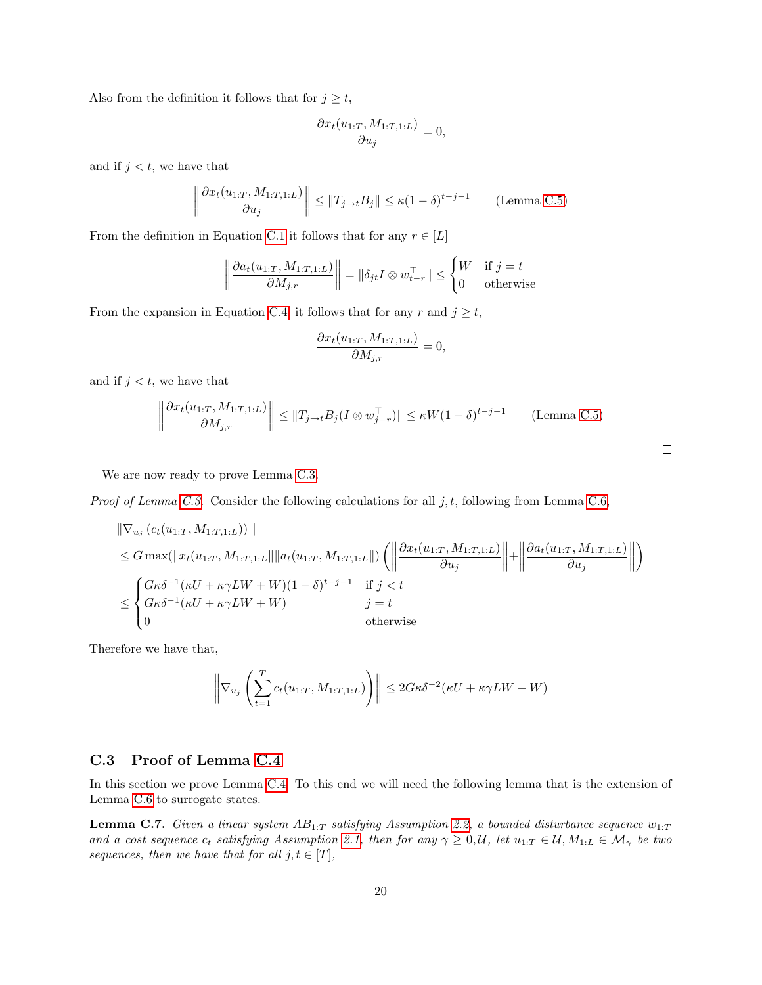Also from the definition it follows that for  $j \geq t$ ,

$$
\frac{\partial x_t(u_{1:T}, M_{1:T, 1:L})}{\partial u_j} = 0,
$$

and if  $j < t$ , we have that

$$
\left\| \frac{\partial x_t(u_{1:T}, M_{1:T, 1:L})}{\partial u_j} \right\| \le \|T_{j \to t} B_j\| \le \kappa (1 - \delta)^{t - j - 1}
$$
 (Lemma C.5)

From the definition in Equation [C.1](#page-14-2) it follows that for any  $r \in [L]$ 

$$
\left\|\frac{\partial a_t(u_{1:T}, M_{1:T, 1:L})}{\partial M_{j,r}}\right\| = \|\delta_{jt} I \otimes w_{t-r}^{\top}\| \le \begin{cases} W & \text{if } j = t \\ 0 & \text{otherwise} \end{cases}
$$

From the expansion in Equation [C.4,](#page-14-5) it follows that for any r and  $j \geq t$ ,

$$
\frac{\partial x_t(u_{1:T}, M_{1:T, 1:L})}{\partial M_{j,r}} = 0,
$$

and if  $j < t$ , we have that

$$
\left\| \frac{\partial x_t(u_{1:T}, M_{1:T, 1:L})}{\partial M_{j,r}} \right\| \le \|T_{j \to t} B_j(I \otimes w_{j-r}^\top)\| \le \kappa W (1 - \delta)^{t-j-1} \qquad \text{(Lemma C.5)}
$$

We are now ready to prove Lemma [C.3.](#page-14-0)

*Proof of Lemma [C.3.](#page-14-0)* Consider the following calculations for all j, t, following from Lemma [C.6,](#page-18-0)

$$
\|\nabla_{u_j} (c_t(u_{1:T}, M_{1:T,1:L}))\|
$$
  
\n
$$
\leq G \max(\|x_t(u_{1:T}, M_{1:T,1:L}\| \|a_t(u_{1:T}, M_{1:T,1:L}\|) \left( \left\|\frac{\partial x_t(u_{1:T}, M_{1:T,1:L})}{\partial u_j}\right\| + \left\|\frac{\partial a_t(u_{1:T}, M_{1:T,1:L})}{\partial u_j}\right\| \right)
$$
  
\n
$$
\leq \begin{cases} G\kappa \delta^{-1} (\kappa U + \kappa \gamma L W + W)(1 - \delta)^{t-j-1} & \text{if } j < t \\ G\kappa \delta^{-1} (\kappa U + \kappa \gamma L W + W) & j = t \\ 0 & \text{otherwise} \end{cases}
$$

Therefore we have that,

$$
\left\|\nabla_{u_j}\left(\sum_{t=1}^T c_t(u_{1:T}, M_{1:T,1:L})\right)\right\| \le 2G\kappa\delta^{-2}(\kappa U + \kappa\gamma LW + W)
$$

 $\Box$ 

### C.3 Proof of Lemma [C.4](#page-16-0)

In this section we prove Lemma [C.4.](#page-16-0) To this end we will need the following lemma that is the extension of Lemma [C.6](#page-18-0) to surrogate states.

<span id="page-19-0"></span>**Lemma C.7.** Given a linear system  $AB_{1:T}$  satisfying Assumption [2.2,](#page-3-0) a bounded disturbance sequence  $w_{1:T}$ and a cost sequence  $c_t$  satisfying Assumption [2.1,](#page-3-3) then for any  $\gamma \geq 0, \mathcal{U}$ , let  $u_{1:T} \in \mathcal{U}, M_{1:L} \in \mathcal{M}_{\gamma}$  be two sequences, then we have that for all  $j, t \in [T]$ ,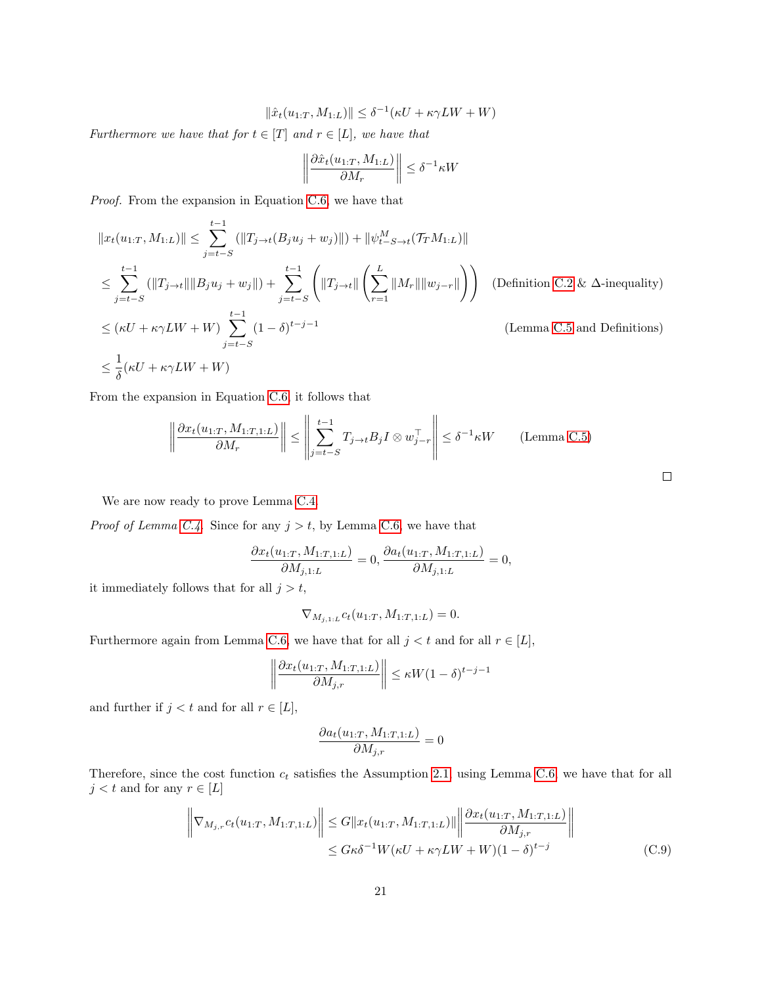$$
\|\hat{x}_t(u_{1:T}, M_{1:L})\| \le \delta^{-1}(\kappa U + \kappa \gamma L W + W)
$$

Furthermore we have that for  $t \in [T]$  and  $r \in [L]$ , we have that

$$
\left\|\frac{\partial \hat{x}_t(u_{1:T},M_{1:L})}{\partial M_r}\right\| \leq \delta^{-1} \kappa W
$$

Proof. From the expansion in Equation [C.6,](#page-16-2) we have that

$$
||x_t(u_{1:T}, M_{1:L})|| \le \sum_{j=t-S}^{t-1} (||T_{j\to t}(B_j u_j + w_j)||) + ||\psi_{t-S\to t}^M(\mathcal{T}_T M_{1:L})||
$$
  
\n
$$
\le \sum_{j=t-S}^{t-1} (||T_{j\to t}|| ||B_j u_j + w_j||) + \sum_{j=t-S}^{t-1} (||T_{j\to t}|| \left(\sum_{r=1}^L ||M_r|| ||w_{j-r}||\right))
$$
 (Definition C.2 &  $\Delta$ -inequality)  
\n
$$
\le (\kappa U + \kappa \gamma LW + W) \sum_{j=t-S}^{t-1} (1-\delta)^{t-j-1}
$$
 (Lemma C.5 and Definitions)  
\n
$$
\le \frac{1}{\delta} (\kappa U + \kappa \gamma LW + W)
$$

From the expansion in Equation [C.6,](#page-16-2) it follows that

$$
\left\| \frac{\partial x_t(u_{1:T}, M_{1:T, 1:L})}{\partial M_r} \right\| \le \left\| \sum_{j=t-S}^{t-1} T_{j\to t} B_j I \otimes w_{j-r}^\top \right\| \le \delta^{-1} \kappa W \qquad \text{(Lemma C.5)}
$$

We are now ready to prove Lemma [C.4.](#page-16-0)

*Proof of Lemma [C.4.](#page-16-0)* Since for any  $j > t$ , by Lemma [C.6,](#page-18-0) we have that

$$
\frac{\partial x_t(u_{1:T}, M_{1:T, 1:L})}{\partial M_{j,1:L}} = 0, \frac{\partial a_t(u_{1:T}, M_{1:T, 1:L})}{\partial M_{j,1:L}} = 0,
$$

it immediately follows that for all  $j > t$ ,

$$
\nabla_{M_{j,1:L}} c_t(u_{1:T}, M_{1:T,1:L}) = 0.
$$

Furthermore again from Lemma [C.6,](#page-18-0) we have that for all  $j < t$  and for all  $r \in [L]$ ,

$$
\left\| \frac{\partial x_t(u_{1:T}, M_{1:T, 1:L})}{\partial M_{j,r}} \right\| \le \kappa W (1 - \delta)^{t - j - 1}
$$

and further if  $j < t$  and for all  $r \in [L]$ ,

<span id="page-20-0"></span>
$$
\frac{\partial a_t(u_{1:T}, M_{1:T, 1:L})}{\partial M_{j,r}} = 0
$$

Therefore, since the cost function  $c_t$  satisfies the Assumption [2.1,](#page-3-3) using Lemma [C.6,](#page-18-0) we have that for all  $j < t$  and for any  $r \in [L]$ 

$$
\left\| \nabla_{M_{j,r}} c_t(u_{1:T}, M_{1:T,1:L}) \right\| \leq G \|x_t(u_{1:T}, M_{1:T,1:L})\| \left\| \frac{\partial x_t(u_{1:T}, M_{1:T,1:L})}{\partial M_{j,r}} \right\|
$$
  

$$
\leq G \kappa \delta^{-1} W (\kappa U + \kappa \gamma L W + W)(1 - \delta)^{t-j}
$$
(C.9)

 $\Box$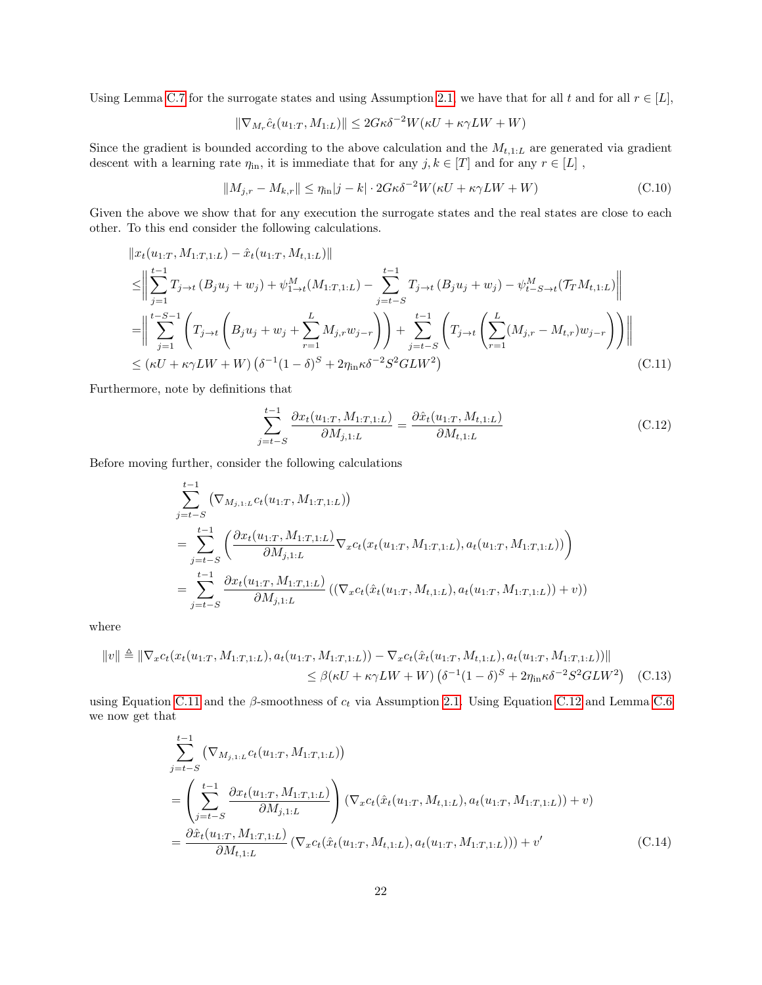Using Lemma [C.7](#page-19-0) for the surrogate states and using Assumption [2.1,](#page-3-3) we have that for all t and for all  $r \in [L]$ ,

<span id="page-21-4"></span>
$$
\|\nabla_{M_r}\hat{c}_t(u_{1:T}, M_{1:L})\| \le 2G\kappa\delta^{-2}W(\kappa U + \kappa\gamma LW + W)
$$

Since the gradient is bounded according to the above calculation and the  $M_{t,1:L}$  are generated via gradient descent with a learning rate  $\eta$ <sub>in</sub>, it is immediate that for any  $j, k \in [T]$  and for any  $r \in [L]$ ,

$$
||M_{j,r} - M_{k,r}|| \le \eta_{\text{in}} |j - k| \cdot 2G\kappa \delta^{-2} W(\kappa U + \kappa \gamma L W + W)
$$
 (C.10)

Given the above we show that for any execution the surrogate states and the real states are close to each other. To this end consider the following calculations.

$$
\|x_t(u_{1:T}, M_{1:T,1:L}) - \hat{x}_t(u_{1:T}, M_{t,1:L})\| \n\leq \left\|\sum_{j=1}^{t-1} T_{j\to t} (B_j u_j + w_j) + \psi_{1\to t}^M (M_{1:T,1:L}) - \sum_{j=t-S}^{t-1} T_{j\to t} (B_j u_j + w_j) - \psi_{t-S\to t}^M (T_T M_{t,1:L})\right\| \n= \left\|\sum_{j=1}^{t-S-1} \left(T_{j\to t} \left(B_j u_j + w_j + \sum_{r=1}^L M_{j,r} w_{j-r}\right)\right) + \sum_{j=t-S}^{t-1} \left(T_{j\to t} \left(\sum_{r=1}^L (M_{j,r} - M_{t,r}) w_{j-r}\right)\right)\right\| \n\leq (\kappa U + \kappa \gamma LW + W) \left(\delta^{-1} (1-\delta)^S + 2\eta_{\text{in}} \kappa \delta^{-2} S^2 GLW^2\right)
$$
\n(C.11)

Furthermore, note by definitions that

<span id="page-21-2"></span><span id="page-21-1"></span><span id="page-21-0"></span>
$$
\sum_{j=t-S}^{t-1} \frac{\partial x_t(u_{1:T}, M_{1:T,1:L})}{\partial M_{j,1:L}} = \frac{\partial \hat{x}_t(u_{1:T}, M_{t,1:L})}{\partial M_{t,1:L}}
$$
(C.12)

Before moving further, consider the following calculations

$$
\sum_{j=t-S}^{t-1} (\nabla_{M_{j,1:L}} c_t(u_{1:T}, M_{1:T,1:L}))
$$
\n
$$
= \sum_{j=t-S}^{t-1} \left( \frac{\partial x_t(u_{1:T}, M_{1:T,1:L})}{\partial M_{j,1:L}} \nabla_x c_t(x_t(u_{1:T}, M_{1:T,1:L}), a_t(u_{1:T}, M_{1:T,1:L})) \right)
$$
\n
$$
= \sum_{j=t-S}^{t-1} \frac{\partial x_t(u_{1:T}, M_{1:T,1:L})}{\partial M_{j,1:L}} ((\nabla_x c_t(\hat{x}_t(u_{1:T}, M_{t,1:L}), a_t(u_{1:T}, M_{1:T,1:L})) + v))
$$

where

$$
\|v\| \triangleq \|\nabla_x c_t(x_t(u_{1:T}, M_{1:T,1:L}), a_t(u_{1:T}, M_{1:T,1:L})) - \nabla_x c_t(\hat{x}_t(u_{1:T}, M_{t,1:L}), a_t(u_{1:T}, M_{1:T,1:L}))\|
$$
  

$$
\leq \beta(\kappa U + \kappa \gamma L W + W) (\delta^{-1}(1 - \delta)^S + 2\eta_{\text{in}}\kappa \delta^{-2} S^2 GLW^2)
$$
 (C.13)

using Equation [C.11](#page-21-0) and the  $\beta$ -smoothness of  $c_t$  via Assumption [2.1.](#page-3-3) Using Equation [C.12](#page-21-1) and Lemma [C.6](#page-18-0) we now get that

<span id="page-21-3"></span>
$$
\sum_{j=t-S}^{t-1} (\nabla_{M_{j,1:L}} c_t(u_{1:T}, M_{1:T,1:L}))
$$
\n
$$
= \left(\sum_{j=t-S}^{t-1} \frac{\partial x_t(u_{1:T}, M_{1:T,1:L})}{\partial M_{j,1:L}}\right) (\nabla_x c_t(\hat{x}_t(u_{1:T}, M_{t,1:L}), a_t(u_{1:T}, M_{1:T,1:L})) + v)
$$
\n
$$
= \frac{\partial \hat{x}_t(u_{1:T}, M_{1:T,1:L})}{\partial M_{t,1:L}} (\nabla_x c_t(\hat{x}_t(u_{1:T}, M_{t,1:L}), a_t(u_{1:T}, M_{1:T,1:L}))) + v'
$$
\n(C.14)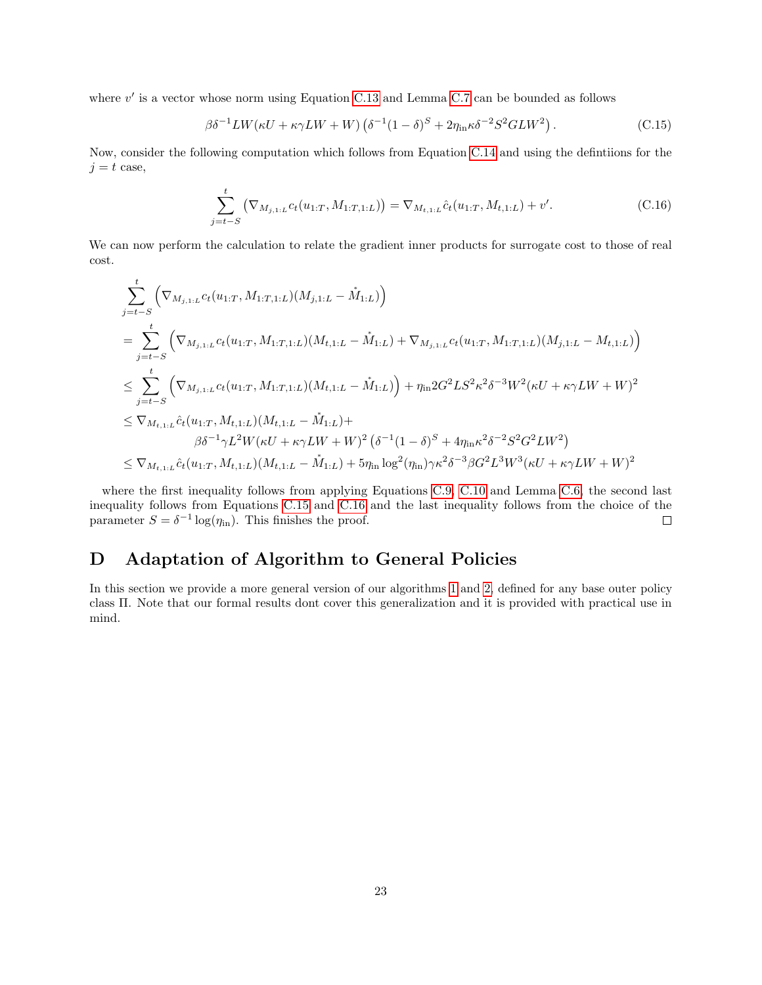where  $v'$  is a vector whose norm using Equation [C.13](#page-21-2) and Lemma [C.7](#page-19-0) can be bounded as follows

<span id="page-22-1"></span>
$$
\beta \delta^{-1} L W(\kappa U + \kappa \gamma L W + W) \left( \delta^{-1} (1 - \delta)^S + 2 \eta_{\text{in}} \kappa \delta^{-2} S^2 G L W^2 \right). \tag{C.15}
$$

Now, consider the following computation which follows from Equation [C.14](#page-21-3) and using the defintiions for the  $j = t$  case,

<span id="page-22-2"></span>
$$
\sum_{j=t-S}^{t} (\nabla_{M_{j,1:L}} c_t(u_{1:T}, M_{1:T,1:L})) = \nabla_{M_{t,1:L}} \hat{c}_t(u_{1:T}, M_{t,1:L}) + v'. \tag{C.16}
$$

We can now perform the calculation to relate the gradient inner products for surrogate cost to those of real cost.

$$
\sum_{j=t-S}^{t} \left( \nabla_{M_{j,1:L}} c_t(u_{1:T}, M_{1:T,1:L})(M_{j,1:L} - \mathring{M}_{1:L}) \right)
$$
\n
$$
= \sum_{j=t-S}^{t} \left( \nabla_{M_{j,1:L}} c_t(u_{1:T}, M_{1:T,1:L})(M_{t,1:L} - \mathring{M}_{1:L}) + \nabla_{M_{j,1:L}} c_t(u_{1:T}, M_{1:T,1:L})(M_{j,1:L} - M_{t,1:L}) \right)
$$
\n
$$
\leq \sum_{j=t-S}^{t} \left( \nabla_{M_{j,1:L}} c_t(u_{1:T}, M_{1:T,1:L})(M_{t,1:L} - \mathring{M}_{1:L}) \right) + \eta_{\text{in}} 2G^2 L S^2 \kappa^2 \delta^{-3} W^2 (\kappa U + \kappa \gamma L W + W)^2
$$
\n
$$
\leq \nabla_{M_{t,1:L}} \hat{c}_t(u_{1:T}, M_{t,1:L})(M_{t,1:L} - \mathring{M}_{1:L}) + \beta \delta^{-1} \gamma L^2 W (\kappa U + \kappa \gamma L W + W)^2 (\delta^{-1} (1 - \delta)^S + 4 \eta_{\text{in}} \kappa^2 \delta^{-2} S^2 G^2 L W^2)
$$
\n
$$
\leq \nabla_{M_{t,1:L}} \hat{c}_t(u_{1:T}, M_{t,1:L})(M_{t,1:L} - \mathring{M}_{1:L}) + 5 \eta_{\text{in}} \log^2(\eta_{\text{in}}) \gamma \kappa^2 \delta^{-3} \beta G^2 L^3 W^3 (\kappa U + \kappa \gamma L W + W)^2
$$

where the first inequality follows from applying Equations [C.9,](#page-20-0) [C.10](#page-21-4) and Lemma [C.6,](#page-18-0) the second last inequality follows from Equations [C.15](#page-22-1) and [C.16](#page-22-2) and the last inequality follows from the choice of the parameter  $S = \delta^{-1} \log(\eta_{\text{in}})$ . This finishes the proof.  $\Box$ 

# <span id="page-22-0"></span>D Adaptation of Algorithm to General Policies

In this section we provide a more general version of our algorithms [1](#page-4-2) and [2,](#page-5-0) defined for any base outer policy class Π. Note that our formal results dont cover this generalization and it is provided with practical use in mind.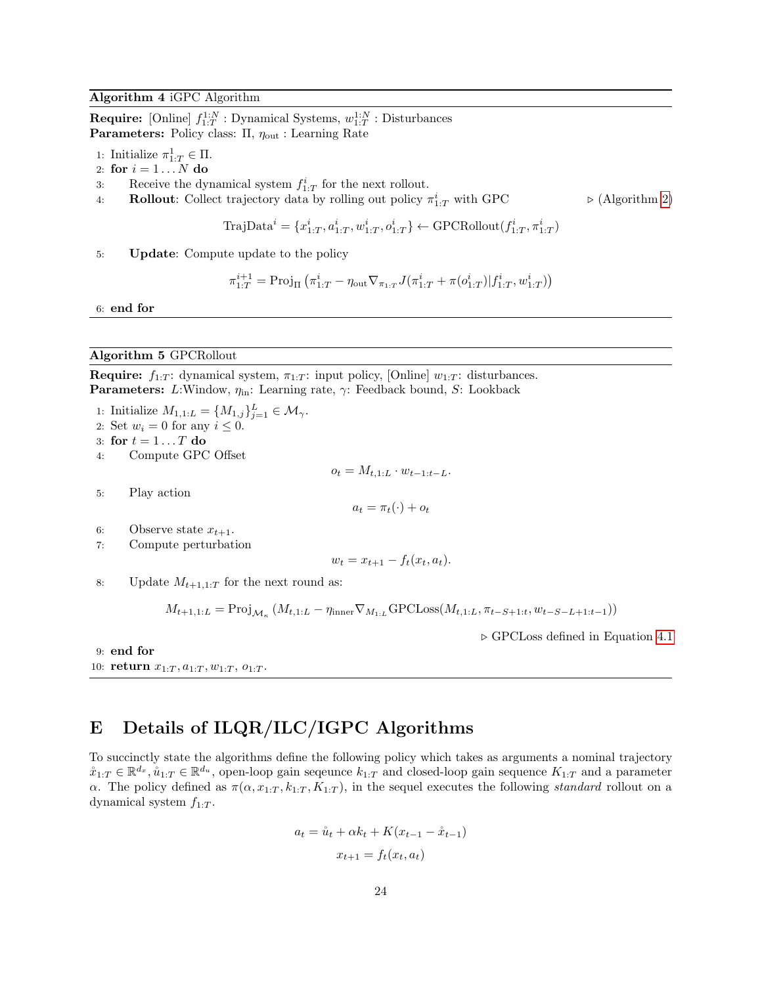#### Algorithm 4 iGPC Algorithm

**Require:** [Online]  $f_{1:T}^{1:N}$ : Dynamical Systems,  $w_{1:T}^{1:N}$ : Disturbances **Parameters:** Policy class:  $\Pi$ ,  $\eta_{\text{out}}$ : Learning Rate

- 1: Initialize  $\pi^1_{1:T} \in \Pi$ .
- 2: for  $i = 1...N$  do
- 3: Receive the dynamical system  $f_{1:T}^i$  for the next rollout.
- 4: **Rollout:** Collect trajectory data by rolling out policy  $\pi_{1:T}^i$  with GPC  $\triangleright$  (Algorithm [2\)](#page-5-0)

TrajData<sup>*i*</sup> = {
$$
x_{1:T}^i, a_{1:T}^i, w_{1:T}^i, o_{1:T}^i
$$
}  $\leftarrow$  GPCRollout( $f_{1:T}^i, \pi_{1:T}^i$ )

5: Update: Compute update to the policy

$$
\pi_{1:T}^{i+1} = \text{Proj}_{\Pi} \left( \pi_{1:T}^i - \eta_{\text{out}} \nabla_{\pi_{1:T}} J(\pi_{1:T}^i + \pi(o_{1:T}^i) | f_{1:T}^i, w_{1:T}^i) \right)
$$

6: end for

### Algorithm 5 GPCRollout

**Require:**  $f_{1:T}$ : dynamical system,  $\pi_{1:T}$ : input policy, [Online]  $w_{1:T}$ : disturbances. **Parameters:** L:Window,  $\eta_{\text{in}}$ : Learning rate,  $\gamma$ : Feedback bound, S: Lookback

1: Initialize  $M_{1,1:L} = \{M_{1,j}\}_{j=1}^L \in \mathcal{M}_{\gamma}$ . 2: Set  $w_i = 0$  for any  $i \leq 0$ . 3: for  $t = 1 \dots T$  do 4: Compute GPC Offset  $o_t = M_{t,1:L} \cdot w_{t-1:t-L}.$ 5: Play action  $a_t = \pi_t(\cdot) + o_t$ 6: Observe state  $x_{t+1}$ . 7: Compute perturbation  $w_t = x_{t+1} - f_t(x_t, a_t).$ 8: Update  $M_{t+1,1:T}$  for the next round as:  $M_{t+1,1:L} = \text{Proj}_{\mathcal{M}_{\kappa}} (M_{t,1:L} - \eta_{\text{inner}} \nabla_{M_{1:L}} \text{GPCLoss}(M_{t,1:L}, \pi_{t-S+1:t}, w_{t-S-L+1:t-1}))$ 

$$
\mathcal{L} = \mathcal{L} \mathcal{L} = \mathcal{L} \mathcal{L} \mathcal{L} = \mathcal{L} \mathcal{L} \mathcal{L} \mathcal{L} \mathcal{L} = \mathcal{L} \mathcal{L} \mathcal{L} \mathcal{L} \mathcal{L} \mathcal{L} \mathcal{L} \mathcal{L} \mathcal{L} \mathcal{L} \mathcal{L} \mathcal{L} \mathcal{L} \mathcal{L} \mathcal{L} \mathcal{L} \mathcal{L} \mathcal{L} \mathcal{L} \mathcal{L} \mathcal{L} \mathcal{L} \mathcal{L} \mathcal{L} \mathcal{L} \mathcal{L} \mathcal{L} \mathcal{L} \mathcal{L} \mathcal{L} \mathcal{L} \mathcal{L} \mathcal{L} \mathcal{L} \mathcal{L} \mathcal{L} \mathcal{L} \mathcal{L} \mathcal{L} \mathcal{L} \mathcal{L} \mathcal{L} \mathcal{L} \mathcal{L} \mathcal{L} \mathcal{L} \mathcal{L} \mathcal{L} \mathcal{L} \mathcal{L} \mathcal{L} \mathcal{L} \mathcal{L} \mathcal{L} \mathcal{L} \mathcal{L} \mathcal{L} \mathcal{L} \mathcal{L} \mathcal{L} \mathcal{L} \mathcal{L} \mathcal{L} \mathcal{L} \mathcal{L} \mathcal{L} \mathcal{L} \mathcal{L} \mathcal{L} \mathcal{L} \mathcal{L} \mathcal{L} \mathcal{L} \mathcal{L} \mathcal{L} \mathcal{L} \mathcal{L} \mathcal{L} \mathcal{L} \mathcal{L} \mathcal{L} \mathcal{L} \mathcal{L} \mathcal{L} \mathcal{L} \mathcal{L} \mathcal{L} \mathcal{L} \mathcal{L} \mathcal{L} \mathcal{L} \mathcal{L} \mathcal{L} \mathcal{L} \mathcal{L} \mathcal{L} \mathcal{L} \mathcal{L} \mathcal{L} \mathcal{L} \mathcal{L} \mathcal{L} \mathcal{L} \mathcal{L} \mathcal{L} \mathcal{L} \mathcal{L} \mathcal{L} \mathcal{L} \mathcal{L} \mathcal{L} \mathcal{L} \mathcal{L} \mathcal{L} \mathcal{L}
$$

 $\triangleright$  GPCLoss defined in Equation [4.1](#page-6-1)

9: end for 10: return  $x_{1:T}, a_{1:T}, w_{1:T}, o_{1:T}$ .

# <span id="page-23-0"></span>E Details of ILQR/ILC/IGPC Algorithms

To succinctly state the algorithms define the following policy which takes as arguments a nominal trajectory  $\mathring{x}_{1:T} \in \mathbb{R}^{d_x}, \mathring{u}_{1:T} \in \mathbb{R}^{d_u}$ , open-loop gain sequence  $k_{1:T}$  and closed-loop gain sequence  $K_{1:T}$  and a parameter α. The policy defined as  $\pi(\alpha, x_{1:T}, k_{1:T}, K_{1:T})$ , in the sequel executes the following *standard* rollout on a dynamical system  $f_{1:T}$ .

$$
a_{t} = \mathring{u}_{t} + \alpha k_{t} + K(x_{t-1} - \mathring{x}_{t-1})
$$

$$
x_{t+1} = f_{t}(x_{t}, a_{t})
$$